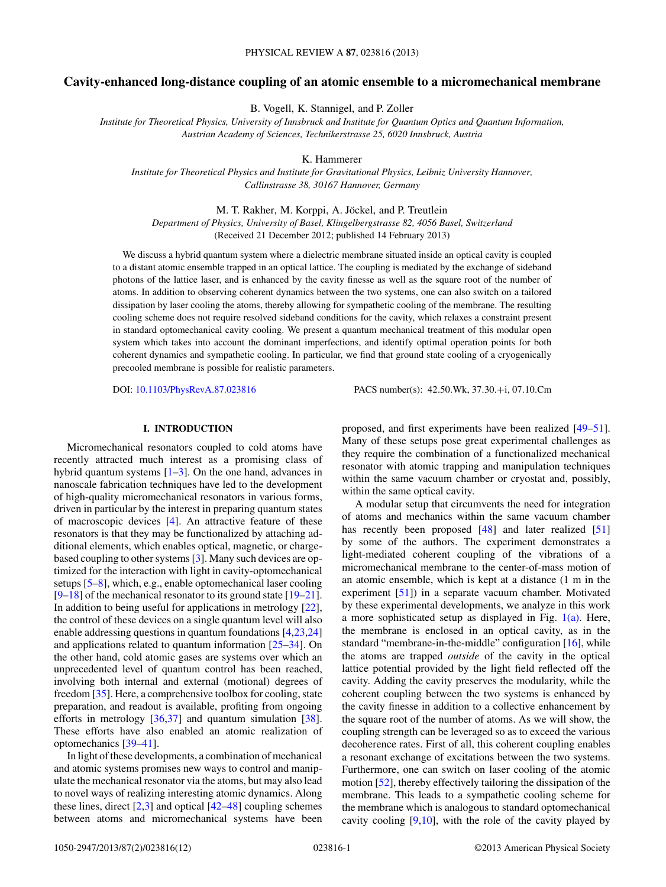# **Cavity-enhanced long-distance coupling of an atomic ensemble to a micromechanical membrane**

B. Vogell, K. Stannigel, and P. Zoller

*Institute for Theoretical Physics, University of Innsbruck and Institute for Quantum Optics and Quantum Information, Austrian Academy of Sciences, Technikerstrasse 25, 6020 Innsbruck, Austria*

K. Hammerer

*Institute for Theoretical Physics and Institute for Gravitational Physics, Leibniz University Hannover, Callinstrasse 38, 30167 Hannover, Germany*

M. T. Rakher, M. Korppi, A. Jöckel, and P. Treutlein

*Department of Physics, University of Basel, Klingelbergstrasse 82, 4056 Basel, Switzerland* (Received 21 December 2012; published 14 February 2013)

We discuss a hybrid quantum system where a dielectric membrane situated inside an optical cavity is coupled to a distant atomic ensemble trapped in an optical lattice. The coupling is mediated by the exchange of sideband photons of the lattice laser, and is enhanced by the cavity finesse as well as the square root of the number of atoms. In addition to observing coherent dynamics between the two systems, one can also switch on a tailored dissipation by laser cooling the atoms, thereby allowing for sympathetic cooling of the membrane. The resulting cooling scheme does not require resolved sideband conditions for the cavity, which relaxes a constraint present in standard optomechanical cavity cooling. We present a quantum mechanical treatment of this modular open system which takes into account the dominant imperfections, and identify optimal operation points for both coherent dynamics and sympathetic cooling. In particular, we find that ground state cooling of a cryogenically precooled membrane is possible for realistic parameters.

DOI: [10.1103/PhysRevA.87.023816](http://dx.doi.org/10.1103/PhysRevA.87.023816) PACS number(s): 42*.*50*.*Wk, 37*.*30*.*+i, 07*.*10*.*Cm

## **I. INTRODUCTION**

Micromechanical resonators coupled to cold atoms have recently attracted much interest as a promising class of hybrid quantum systems  $[1-3]$ . On the one hand, advances in nanoscale fabrication techniques have led to the development of high-quality micromechanical resonators in various forms, driven in particular by the interest in preparing quantum states of macroscopic devices [\[4\]](#page-10-0). An attractive feature of these resonators is that they may be functionalized by attaching additional elements, which enables optical, magnetic, or chargebased coupling to other systems [\[3\]](#page-10-0). Many such devices are optimized for the interaction with light in cavity-optomechanical setups [\[5–8\]](#page-10-0), which, e.g., enable optomechanical laser cooling  $[9-18]$  of the mechanical resonator to its ground state  $[19-21]$ . In addition to being useful for applications in metrology [\[22\]](#page-10-0), the control of these devices on a single quantum level will also enable addressing questions in quantum foundations [\[4,23,24\]](#page-10-0) and applications related to quantum information [\[25–34\]](#page-10-0). On the other hand, cold atomic gases are systems over which an unprecedented level of quantum control has been reached, involving both internal and external (motional) degrees of freedom [\[35\]](#page-10-0). Here, a comprehensive toolbox for cooling, state preparation, and readout is available, profiting from ongoing efforts in metrology [\[36,37\]](#page-10-0) and quantum simulation [\[38\]](#page-10-0). These efforts have also enabled an atomic realization of optomechanics [\[39–41\]](#page-10-0).

In light of these developments, a combination of mechanical and atomic systems promises new ways to control and manipulate the mechanical resonator via the atoms, but may also lead to novel ways of realizing interesting atomic dynamics. Along these lines, direct  $[2,3]$  and optical  $[42-48]$  coupling schemes between atoms and micromechanical systems have been

proposed, and first experiments have been realized [\[49–51\]](#page-10-0). Many of these setups pose great experimental challenges as they require the combination of a functionalized mechanical resonator with atomic trapping and manipulation techniques within the same vacuum chamber or cryostat and, possibly, within the same optical cavity.

A modular setup that circumvents the need for integration of atoms and mechanics within the same vacuum chamber has recently been proposed [\[48\]](#page-10-0) and later realized [\[51\]](#page-10-0) by some of the authors. The experiment demonstrates a light-mediated coherent coupling of the vibrations of a micromechanical membrane to the center-of-mass motion of an atomic ensemble, which is kept at a distance (1 m in the experiment [\[51\]](#page-10-0)) in a separate vacuum chamber. Motivated by these experimental developments, we analyze in this work a more sophisticated setup as displayed in Fig.  $1(a)$ . Here, the membrane is enclosed in an optical cavity, as in the standard "membrane-in-the-middle" configuration [\[16\]](#page-10-0), while the atoms are trapped *outside* of the cavity in the optical lattice potential provided by the light field reflected off the cavity. Adding the cavity preserves the modularity, while the coherent coupling between the two systems is enhanced by the cavity finesse in addition to a collective enhancement by the square root of the number of atoms. As we will show, the coupling strength can be leveraged so as to exceed the various decoherence rates. First of all, this coherent coupling enables a resonant exchange of excitations between the two systems. Furthermore, one can switch on laser cooling of the atomic motion [\[52\]](#page-10-0), thereby effectively tailoring the dissipation of the membrane. This leads to a sympathetic cooling scheme for the membrane which is analogous to standard optomechanical cavity cooling  $[9,10]$ , with the role of the cavity played by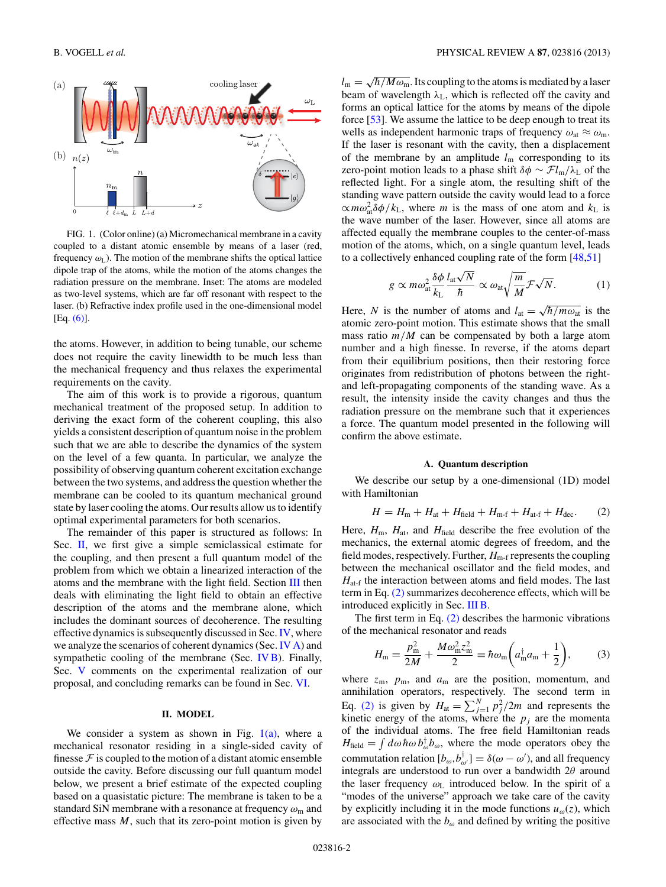<span id="page-1-0"></span>

FIG. 1. (Color online) (a) Micromechanical membrane in a cavity coupled to a distant atomic ensemble by means of a laser (red, frequency  $\omega_{\rm L}$ ). The motion of the membrane shifts the optical lattice dipole trap of the atoms, while the motion of the atoms changes the radiation pressure on the membrane. Inset: The atoms are modeled as two-level systems, which are far off resonant with respect to the laser. (b) Refractive index profile used in the one-dimensional model [Eq. [\(6\)\]](#page-2-0).

the atoms. However, in addition to being tunable, our scheme does not require the cavity linewidth to be much less than the mechanical frequency and thus relaxes the experimental requirements on the cavity.

The aim of this work is to provide a rigorous, quantum mechanical treatment of the proposed setup. In addition to deriving the exact form of the coherent coupling, this also yields a consistent description of quantum noise in the problem such that we are able to describe the dynamics of the system on the level of a few quanta. In particular, we analyze the possibility of observing quantum coherent excitation exchange between the two systems, and address the question whether the membrane can be cooled to its quantum mechanical ground state by laser cooling the atoms. Our results allow us to identify optimal experimental parameters for both scenarios.

The remainder of this paper is structured as follows: In Sec. II, we first give a simple semiclassical estimate for the coupling, and then present a full quantum model of the problem from which we obtain a linearized interaction of the atoms and the membrane with the light field. Section [III](#page-3-0) then deals with eliminating the light field to obtain an effective description of the atoms and the membrane alone, which includes the dominant sources of decoherence. The resulting effective dynamics is subsequently discussed in Sec. [IV,](#page-5-0) where we analyze the scenarios of coherent dynamics (Sec. [IV A\)](#page-5-0) and sympathetic cooling of the membrane (Sec. [IV B\)](#page-6-0). Finally, Sec. [V](#page-7-0) comments on the experimental realization of our proposal, and concluding remarks can be found in Sec. [VI.](#page-7-0)

### **II. MODEL**

We consider a system as shown in Fig.  $1(a)$ , where a mechanical resonator residing in a single-sided cavity of finesse  $\mathcal F$  is coupled to the motion of a distant atomic ensemble outside the cavity. Before discussing our full quantum model below, we present a brief estimate of the expected coupling based on a quasistatic picture: The membrane is taken to be a standard SiN membrane with a resonance at frequency  $\omega_{\rm m}$  and effective mass *M*, such that its zero-point motion is given by

 $l_m = \sqrt{\hbar / M \omega_m}$ . Its coupling to the atoms is mediated by a laser beam of wavelength  $\lambda_L$ , which is reflected off the cavity and forms an optical lattice for the atoms by means of the dipole force [\[53\]](#page-10-0). We assume the lattice to be deep enough to treat its wells as independent harmonic traps of frequency  $\omega_{\text{at}} \approx \omega_{\text{m}}$ . If the laser is resonant with the cavity, then a displacement of the membrane by an amplitude  $l_m$  corresponding to its zero-point motion leads to a phase shift  $\delta \phi \sim \mathcal{F} l_{m}/\lambda_{L}$  of the reflected light. For a single atom, the resulting shift of the standing wave pattern outside the cavity would lead to a force  $\propto m \omega_{\text{at}}^2 \delta \phi / k_L$ , where *m* is the mass of one atom and  $k_L$  is the wave number of the laser. However, since all atoms are affected equally the membrane couples to the center-of-mass motion of the atoms, which, on a single quantum level, leads to a collectively enhanced coupling rate of the form [\[48,51\]](#page-10-0)

$$
g \propto m \omega_{\text{at}}^2 \frac{\delta \phi}{k_{\text{L}}} \frac{l_{\text{at}} \sqrt{N}}{\hbar} \propto \omega_{\text{at}} \sqrt{\frac{m}{M}} \mathcal{F} \sqrt{N}.
$$
 (1)

Here, *N* is the number of atoms and  $l_{at} = \sqrt{\hbar/m\omega_{at}}$  is the atomic zero-point motion. This estimate shows that the small mass ratio  $m/M$  can be compensated by both a large atom number and a high finesse. In reverse, if the atoms depart from their equilibrium positions, then their restoring force originates from redistribution of photons between the rightand left-propagating components of the standing wave. As a result, the intensity inside the cavity changes and thus the radiation pressure on the membrane such that it experiences a force. The quantum model presented in the following will confirm the above estimate.

## **A. Quantum description**

We describe our setup by a one-dimensional (1D) model with Hamiltonian

$$
H = Hm + Hat + Hfield + Hm-f + Hat-f + Hdec.
$$
 (2)

Here,  $H_m$ ,  $H_{at}$ , and  $H_{field}$  describe the free evolution of the mechanics, the external atomic degrees of freedom, and the field modes, respectively. Further,  $H_{m-f}$  represents the coupling between the mechanical oscillator and the field modes, and  $H_{\text{at-f}}$  the interaction between atoms and field modes. The last term in Eq. (2) summarizes decoherence effects, which will be introduced explicitly in Sec. [III B.](#page-4-0)

The first term in Eq. (2) describes the harmonic vibrations of the mechanical resonator and reads

$$
H_{\rm m} = \frac{p_{\rm m}^2}{2M} + \frac{M\omega_{\rm m}^2 z_{\rm m}^2}{2} \equiv \hbar \omega_{\rm m} \left( a_{\rm m}^\dagger a_{\rm m} + \frac{1}{2} \right),\tag{3}
$$

where  $z_m$ ,  $p_m$ , and  $a_m$  are the position, momentum, and annihilation operators, respectively. The second term in Eq. (2) is given by  $H_{at} = \sum_{j=1}^{N} p_j^2 / 2m$  and represents the kinetic energy of the atoms, where the  $p_j$  are the momenta of the individual atoms. The free field Hamiltonian reads  $H_{\text{field}} = \int d\omega \hbar \omega b_{\omega}^{\dagger} b_{\omega}$ , where the mode operators obey the commutation relation  $[b_{\omega}, b_{\omega'}^{\dagger}] = \delta(\omega - \omega')$ , and all frequency integrals are understood to run over a bandwidth 2*θ* around the laser frequency *ω*<sup>L</sup> introduced below. In the spirit of a "modes of the universe" approach we take care of the cavity by explicitly including it in the mode functions  $u_{\omega}(z)$ , which are associated with the  $b_{\omega}$  and defined by writing the positive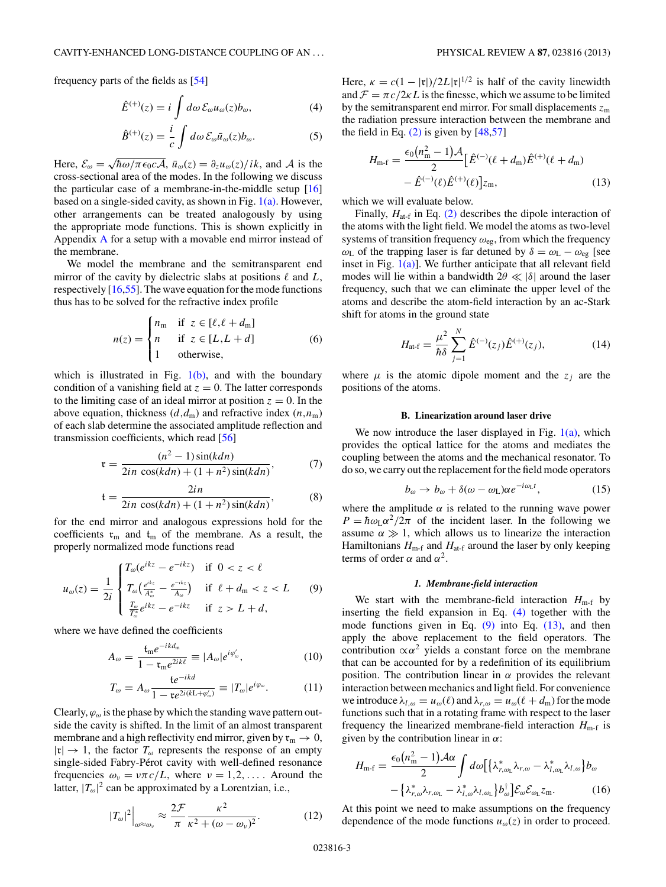<span id="page-2-0"></span>frequency parts of the fields as [\[54\]](#page-10-0)

$$
\hat{E}^{(+)}(z) = i \int d\omega \, \mathcal{E}_{\omega} u_{\omega}(z) b_{\omega}, \tag{4}
$$

$$
\hat{B}^{(+)}(z) = \frac{i}{c} \int d\omega \, \mathcal{E}_{\omega} \bar{u}_{\omega}(z) b_{\omega}.
$$
 (5)

Here,  $\mathcal{E}_{\omega} = \sqrt{\hbar \omega / \pi \epsilon_0 c A}$ ,  $\bar{u}_{\omega}(z) = \partial_z u_{\omega}(z) / i k$ , and A is the cross-sectional area of the modes. In the following we discuss the particular case of a membrane-in-the-middle setup [\[16\]](#page-10-0) based on a single-sided cavity, as shown in Fig.  $1(a)$ . However, other arrangements can be treated analogously by using the appropriate mode functions. This is shown explicitly in Appendix [A](#page-8-0) for a setup with a movable end mirror instead of the membrane.

We model the membrane and the semitransparent end mirror of the cavity by dielectric slabs at positions  $\ell$  and  $L$ , respectively  $[16,55]$ . The wave equation for the mode functions thus has to be solved for the refractive index profile

$$
n(z) = \begin{cases} n_{\text{m}} & \text{if } z \in [\ell, \ell + d_{\text{m}}] \\ n & \text{if } z \in [L, L + d] \\ 1 & \text{otherwise,} \end{cases} \tag{6}
$$

which is illustrated in Fig.  $1(b)$ , and with the boundary condition of a vanishing field at  $z = 0$ . The latter corresponds to the limiting case of an ideal mirror at position  $z = 0$ . In the above equation, thickness  $(d, d<sub>m</sub>)$  and refractive index  $(n, n<sub>m</sub>)$ of each slab determine the associated amplitude reflection and transmission coefficients, which read [\[56\]](#page-10-0)

$$
\mathfrak{r} = \frac{(n^2 - 1)\sin(kdn)}{2in\cos(kdn) + (1 + n^2)\sin(kdn)},\tag{7}
$$

$$
t = \frac{2in}{2in \cos(kdn) + (1+n^2)\sin(kdn)},
$$
\n(8)

for the end mirror and analogous expressions hold for the coefficients  $\mathfrak{r}_m$  and  $\mathfrak{t}_m$  of the membrane. As a result, the properly normalized mode functions read

$$
u_{\omega}(z) = \frac{1}{2i} \begin{cases} T_{\omega}(e^{ikz} - e^{-ikz}) & \text{if } 0 < z < \ell \\ T_{\omega}(\frac{e^{ikz}}{A_{\omega}^{*}} - \frac{e^{-ikz}}{A_{\omega}}) & \text{if } \ell + d_{\text{m}} < z < L \\ \frac{T_{\omega}}{T_{\omega}^{*}} e^{ikz} - e^{-ikz} & \text{if } z > L + d, \end{cases}
$$
(9)

where we have defined the coefficients

$$
A_{\omega} = \frac{\mathfrak{t}_{\mathfrak{m}} e^{-ikd_{\mathfrak{m}}}}{1 - \mathfrak{r}_{\mathfrak{m}} e^{2ik\ell}} \equiv |A_{\omega}| e^{i\varphi_{\omega}'}, \tag{10}
$$

$$
T_{\omega} = A_{\omega} \frac{\mathfrak{t}e^{-ikd}}{1 - \mathfrak{r}e^{2i(k\mathcal{L} + \varphi_{\omega}')} } \equiv |T_{\omega}|e^{i\varphi_{\omega}}.
$$
 (11)

Clearly,  $\varphi_{\omega}$  is the phase by which the standing wave pattern outside the cavity is shifted. In the limit of an almost transparent membrane and a high reflectivity end mirror, given by  $\mathfrak{r}_m \to 0$ ,  $|\mathfrak{r}| \to 1$ , the factor  $T_{\omega}$  represents the response of an empty single-sided Fabry-Pérot cavity with well-defined resonance frequencies  $\omega_v = v \pi c/L$ , where  $v = 1, 2, \dots$ . Around the latter,  $|T_{\omega}|^2$  can be approximated by a Lorentzian, i.e.,

$$
|T_{\omega}|^2\Big|_{\omega\approx\omega_v}\approx\frac{2\mathcal{F}}{\pi}\frac{\kappa^2}{\kappa^2+(\omega-\omega_v)^2}.\tag{12}
$$

Here,  $\kappa = c(1 - |\mathfrak{r}|)/2L|\mathfrak{r}|^{1/2}$  is half of the cavity linewidth and  $\mathcal{F} = \pi c/2\kappa L$  is the finesse, which we assume to be limited by the semitransparent end mirror. For small displacements  $z<sub>m</sub>$ the radiation pressure interaction between the membrane and the field in Eq.  $(2)$  is given by  $[48,57]$ 

$$
H_{\rm m\text{-}f} = \frac{\epsilon_0 (n_{\rm m}^2 - 1) \mathcal{A}}{2} \left[ \hat{E}^{(-)}(\ell + d_{\rm m}) \hat{E}^{(+)}(\ell + d_{\rm m}) - \hat{E}^{(-)}(\ell) \hat{E}^{(+)}(\ell) \right] z_{\rm m},\tag{13}
$$

which we will evaluate below.

Finally,  $H_{\text{at-f}}$  in Eq. [\(2\)](#page-1-0) describes the dipole interaction of the atoms with the light field. We model the atoms as two-level systems of transition frequency *ω*eg, from which the frequency *ω*<sub>L</sub> of the trapping laser is far detuned by *δ* =  $ω$ <sub>L</sub> −  $ω$ <sub>eg</sub> [see inset in Fig.  $1(a)$ ]. We further anticipate that all relevant field modes will lie within a bandwidth  $2\theta \ll |\delta|$  around the laser frequency, such that we can eliminate the upper level of the atoms and describe the atom-field interaction by an ac-Stark shift for atoms in the ground state

$$
H_{\text{at-f}} = \frac{\mu^2}{\hbar \delta} \sum_{j=1}^{N} \hat{E}^{(-)}(z_j) \hat{E}^{(+)}(z_j), \tag{14}
$$

where  $\mu$  is the atomic dipole moment and the  $z_j$  are the positions of the atoms.

### **B. Linearization around laser drive**

We now introduce the laser displayed in Fig.  $1(a)$ , which provides the optical lattice for the atoms and mediates the coupling between the atoms and the mechanical resonator. To do so, we carry out the replacement for the field mode operators

$$
b_{\omega} \to b_{\omega} + \delta(\omega - \omega_{\mathcal{L}})\alpha e^{-i\omega_{\mathcal{L}}t},\tag{15}
$$

where the amplitude  $\alpha$  is related to the running wave power  $P = \hbar \omega_L \alpha^2 / 2\pi$  of the incident laser. In the following we assume  $\alpha \gg 1$ , which allows us to linearize the interaction Hamiltonians  $H_{m-f}$  and  $H_{at-f}$  around the laser by only keeping terms of order  $\alpha$  and  $\alpha^2$ .

### *1. Membrane-field interaction*

We start with the membrane-field interaction  $H_{\text{m-f}}$  by inserting the field expansion in Eq. (4) together with the mode functions given in Eq.  $(9)$  into Eq.  $(13)$ , and then apply the above replacement to the field operators. The contribution  $\alpha \alpha^2$  yields a constant force on the membrane that can be accounted for by a redefinition of its equilibrium position. The contribution linear in  $\alpha$  provides the relevant interaction between mechanics and light field. For convenience we introduce  $\lambda_{l,\omega} = u_{\omega}(\ell)$  and  $\lambda_{r,\omega} = u_{\omega}(\ell + d_m)$  for the mode functions such that in a rotating frame with respect to the laser frequency the linearized membrane-field interaction  $H_{m-f}$  is given by the contribution linear in *α*:

$$
H_{\rm m\text{-}f} = \frac{\epsilon_0 (n_{\rm m}^2 - 1) \mathcal{A} \alpha}{2} \int d\omega \big[ \{\lambda_{r,\omega_{\rm L}}^* \lambda_{r,\omega} - \lambda_{l,\omega_{\rm L}}^* \lambda_{l,\omega} \} b_{\omega} - \{\lambda_{r,\omega}^* \lambda_{r,\omega_{\rm L}} - \lambda_{l,\omega}^* \lambda_{l,\omega_{\rm L}} \} b_{\omega}^\dagger \big] \mathcal{E}_{\omega} \mathcal{E}_{\omega_{\rm L}} z_{\rm m}.
$$
 (16)

At this point we need to make assumptions on the frequency dependence of the mode functions  $u_{\omega}(z)$  in order to proceed.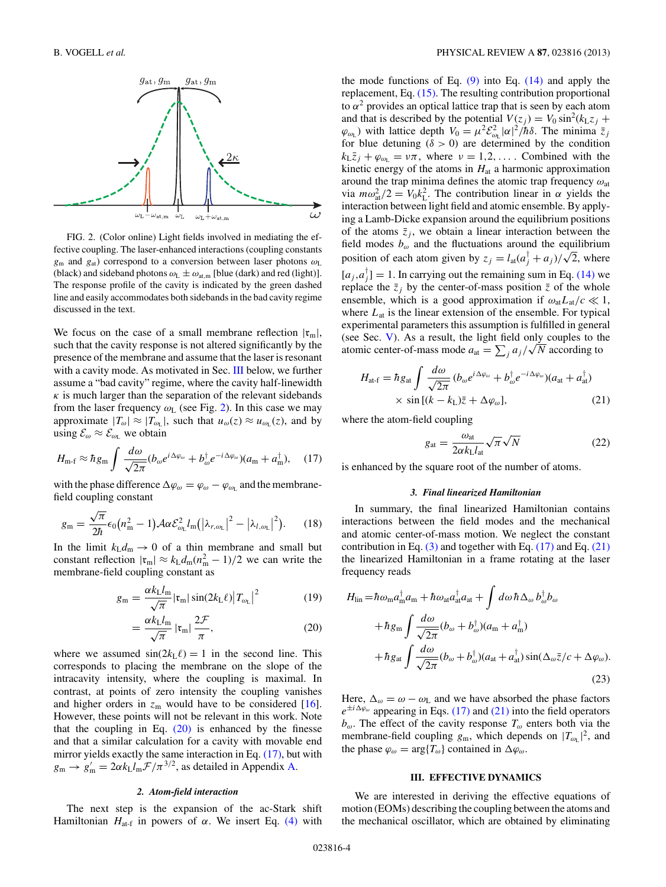<span id="page-3-0"></span>

FIG. 2. (Color online) Light fields involved in mediating the effective coupling. The laser-enhanced interactions (coupling constants *g*<sup>m</sup> and *g*at) correspond to a conversion between laser photons *ω*<sup>L</sup> (black) and sideband photons  $\omega_L \pm \omega_{\text{at,m}}$  [blue (dark) and red (light)]. The response profile of the cavity is indicated by the green dashed line and easily accommodates both sidebands in the bad cavity regime discussed in the text.

We focus on the case of a small membrane reflection  $|\mathfrak{r}_{m}|$ , such that the cavity response is not altered significantly by the presence of the membrane and assume that the laser is resonant with a cavity mode. As motivated in Sec. III below, we further assume a "bad cavity" regime, where the cavity half-linewidth  $\kappa$  is much larger than the separation of the relevant sidebands from the laser frequency  $\omega$ <sub>L</sub> (see Fig. 2). In this case we may approximate  $|T_{\omega}| \approx |T_{\omega_L}|$ , such that  $u_{\omega}(z) \approx u_{\omega_L}(z)$ , and by using  $\mathcal{E}_{\omega} \approx \mathcal{E}_{\omega_L}$  we obtain

$$
H_{\rm m\text{-}f} \approx \hbar g_{\rm m} \int \frac{d\omega}{\sqrt{2\pi}} (b_{\omega} e^{i\Delta\varphi_{\omega}} + b_{\omega}^{\dagger} e^{-i\Delta\varphi_{\omega}})(a_{\rm m} + a_{\rm m}^{\dagger}), \quad (17)
$$

with the phase difference  $\Delta \varphi_{\omega} = \varphi_{\omega} - \varphi_{\omega_L}$  and the membranefield coupling constant

$$
g_{\rm m} = \frac{\sqrt{\pi}}{2\hbar} \epsilon_0 (n_{\rm m}^2 - 1) \mathcal{A} \alpha \mathcal{E}_{\omega_{\rm L}}^2 l_{\rm m} (|\lambda_{r,\omega_{\rm L}}|^2 - |\lambda_{l,\omega_{\rm L}}|^2). \tag{18}
$$

In the limit  $k_L d_m \rightarrow 0$  of a thin membrane and small but constant reflection  $|\mathfrak{r}_{m}| \approx k_{\text{L}}d_{\text{m}}(n_{\text{m}}^{2} - 1)/2$  we can write the membrane-field coupling constant as

$$
g_{\rm m} = \frac{\alpha k_{\rm L} l_{\rm m}}{\sqrt{\pi}} |{\rm t}_{\rm m}| \sin(2k_{\rm L}\ell) |T_{\omega_{\rm L}}|^2 \tag{19}
$$

$$
= \frac{\alpha k_{\text{L}} l_{\text{m}}}{\sqrt{\pi}} \left| \mathfrak{r}_{\text{m}} \right| \frac{2\mathcal{F}}{\pi},\tag{20}
$$

where we assumed  $sin(2k_L \ell) = 1$  in the second line. This corresponds to placing the membrane on the slope of the intracavity intensity, where the coupling is maximal. In contrast, at points of zero intensity the coupling vanishes and higher orders in  $z_m$  would have to be considered [\[16\]](#page-10-0). However, these points will not be relevant in this work. Note that the coupling in Eq.  $(20)$  is enhanced by the finesse and that a similar calculation for a cavity with movable end mirror yields exactly the same interaction in Eq. (17), but with  $g_{\rm m} \rightarrow g'_{\rm m} = 2\alpha k_{\rm L}l_{\rm m}F/\pi^{3/2}$ , as detailed in Appendix [A.](#page-8-0)

### *2. Atom-field interaction*

The next step is the expansion of the ac-Stark shift Hamiltonian  $H_{at-f}$  in powers of *α*. We insert Eq. [\(4\)](#page-2-0) with the mode functions of Eq.  $(9)$  into Eq.  $(14)$  and apply the replacement, Eq. [\(15\).](#page-2-0) The resulting contribution proportional to  $\alpha^2$  provides an optical lattice trap that is seen by each atom and that is described by the potential  $V(z_j) = V_0 \sin^2(k_z z_j +$  $\varphi_{\omega_L}$ ) with lattice depth  $V_0 = \mu^2 \mathcal{E}_{\omega_L}^2 |\alpha|^2 / \hbar \delta$ . The minima  $\bar{z}_j$ for blue detuning  $(\delta > 0)$  are determined by the condition  $k_L \bar{z}_j + \varphi_{\omega_L} = \nu \pi$ , where  $\nu = 1, 2, \ldots$ . Combined with the kinetic energy of the atoms in  $H<sub>at</sub>$  a harmonic approximation around the trap minima defines the atomic trap frequency *ω*at via  $m\omega_{\text{at}}^2/2 = V_0 k_L^2$ . The contribution linear in  $\alpha$  yields the interaction between light field and atomic ensemble. By applying a Lamb-Dicke expansion around the equilibrium positions of the atoms  $\bar{z}_j$ , we obtain a linear interaction between the field modes *bω* and the fluctuations around the equilibrium position of each atom given by  $z_j = l_{at}(a_j^{\dagger} + a_j)/\sqrt{2}$ , where  $[a_j, a_j] = 1$ . In carrying out the remaining sum in Eq. [\(14\)](#page-2-0) we replace the  $\bar{z}_j$  by the center-of-mass position  $\bar{z}$  of the whole ensemble, which is a good approximation if  $\omega_{at}L_{at}/c \ll 1$ , where *L*at is the linear extension of the ensemble. For typical experimental parameters this assumption is fulfilled in general (see Sec. [V\)](#page-7-0). As a result, the light field only couples to the (see Sec. V). As a result, the light field only couples to the atomic center-of-mass mode  $a_{at} = \sum_j a_j / \sqrt{N}$  according to

$$
H_{\text{at-f}} = \hbar g_{\text{at}} \int \frac{d\omega}{\sqrt{2\pi}} (b_{\omega} e^{i\Delta\varphi_{\omega}} + b_{\omega}^{\dagger} e^{-i\Delta\varphi_{\omega}})(a_{\text{at}} + a_{\text{at}}^{\dagger})
$$
  
 
$$
\times \sin\left[(k - k_{\text{L}})\bar{z} + \Delta\varphi_{\omega}\right],
$$
 (21)

where the atom-field coupling

$$
g_{\rm at} = \frac{\omega_{\rm at}}{2\alpha k_{\rm L} l_{\rm at}} \sqrt{\pi} \sqrt{N} \tag{22}
$$

is enhanced by the square root of the number of atoms.

### *3. Final linearized Hamiltonian*

In summary, the final linearized Hamiltonian contains interactions between the field modes and the mechanical and atomic center-of-mass motion. We neglect the constant contribution in Eq.  $(3)$  and together with Eq.  $(17)$  and Eq.  $(21)$ the linearized Hamiltonian in a frame rotating at the laser frequency reads

$$
H_{\text{lin}} = \hbar \omega_{\text{m}} a_{\text{m}}^{\dagger} a_{\text{m}} + \hbar \omega_{\text{at}} a_{\text{at}}^{\dagger} a_{\text{at}} + \int d\omega \,\hbar \,\Delta_{\omega} b_{\omega}^{\dagger} b_{\omega}
$$

$$
+ \hbar g_{\text{m}} \int \frac{d\omega}{\sqrt{2\pi}} (b_{\omega} + b_{\omega}^{\dagger}) (a_{\text{m}} + a_{\text{m}}^{\dagger})
$$

$$
+ \hbar g_{\text{at}} \int \frac{d\omega}{\sqrt{2\pi}} (b_{\omega} + b_{\omega}^{\dagger}) (a_{\text{at}} + a_{\text{at}}^{\dagger}) \sin(\Delta_{\omega} \bar{z}/c + \Delta \varphi_{\omega}). \tag{23}
$$

Here,  $\Delta_{\omega} = \omega - \omega_L$  and we have absorbed the phase factors  $e^{\pm i\Delta\varphi_{\omega}}$  appearing in Eqs. (17) and (21) into the field operators *bω*. The effect of the cavity response *Tω* enters both via the membrane-field coupling  $g_m$ , which depends on  $|T_{\omega_L}|^2$ , and the phase  $\varphi_{\omega} = \arg\{T_{\omega}\}\)$  contained in  $\Delta\varphi_{\omega}$ .

### **III. EFFECTIVE DYNAMICS**

We are interested in deriving the effective equations of motion (EOMs) describing the coupling between the atoms and the mechanical oscillator, which are obtained by eliminating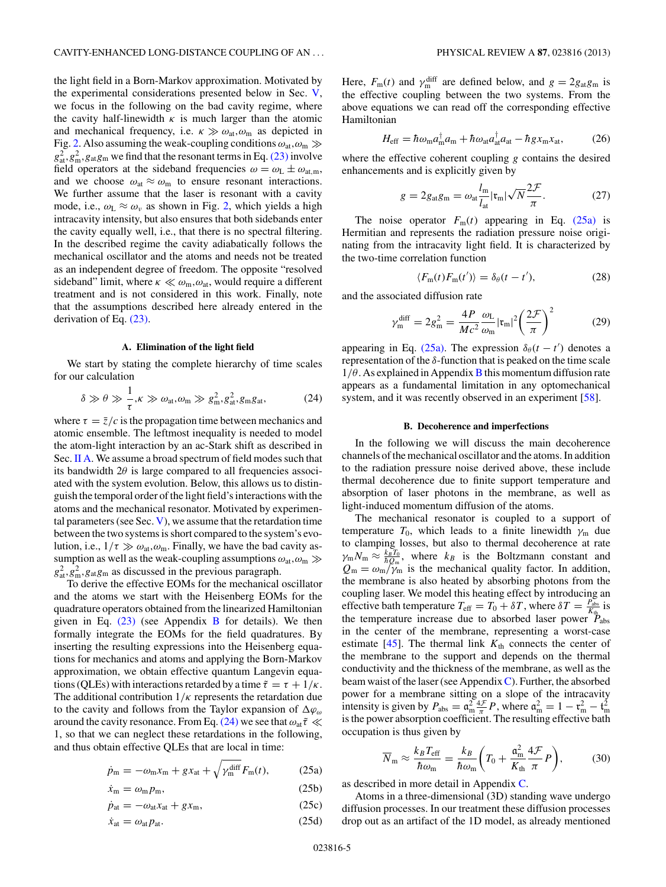<span id="page-4-0"></span>the light field in a Born-Markov approximation. Motivated by the experimental considerations presented below in Sec. [V,](#page-7-0) we focus in the following on the bad cavity regime, where the cavity half-linewidth  $\kappa$  is much larger than the atomic and mechanical frequency, i.e.  $\kappa \gg \omega_{\text{at}}$ ,  $\omega_{\text{m}}$  as depicted in Fig. [2.](#page-3-0) Also assuming the weak-coupling conditions  $\omega_{\rm at}, \omega_{\rm m} \gg$  $g_{at}^2, g_{m}^2, g_{at}g_{m}$  we find that the resonant terms in Eq. [\(23\)](#page-3-0) involve field operators at the sideband frequencies  $\omega = \omega_L \pm \omega_{at,m}$ , and we choose  $\omega_{at} \approx \omega_m$  to ensure resonant interactions. We further assume that the laser is resonant with a cavity mode, i.e.,  $\omega_L \approx \omega_v$  as shown in Fig. [2,](#page-3-0) which yields a high intracavity intensity, but also ensures that both sidebands enter the cavity equally well, i.e., that there is no spectral filtering. In the described regime the cavity adiabatically follows the mechanical oscillator and the atoms and needs not be treated as an independent degree of freedom. The opposite "resolved sideband" limit, where  $\kappa \ll \omega_m, \omega_{at}$ , would require a different treatment and is not considered in this work. Finally, note that the assumptions described here already entered in the derivation of Eq. [\(23\).](#page-3-0)

### **A. Elimination of the light field**

We start by stating the complete hierarchy of time scales for our calculation

$$
\delta \gg \theta \gg \frac{1}{\tau}, \kappa \gg \omega_{\text{at}}, \omega_{\text{m}} \gg g_{\text{m}}^2, g_{\text{at}}^2, g_{\text{m}}g_{\text{at}}, \tag{24}
$$

where  $\tau = \bar{z}/c$  is the propagation time between mechanics and atomic ensemble. The leftmost inequality is needed to model the atom-light interaction by an ac-Stark shift as described in Sec. [II A.](#page-1-0) We assume a broad spectrum of field modes such that its bandwidth  $2\theta$  is large compared to all frequencies associated with the system evolution. Below, this allows us to distinguish the temporal order of the light field's interactions with the atoms and the mechanical resonator. Motivated by experimental parameters (see Sec.  $V$ ), we assume that the retardation time between the two systems is short compared to the system's evolution, i.e.,  $1/\tau \gg \omega_{at}, \omega_{m}$ . Finally, we have the bad cavity assumption as well as the weak-coupling assumptions  $\omega_{\rm at}, \omega_{\rm m} \gg$  $g_{at}^2, g_m^2, g_{at}g_m$  as discussed in the previous paragraph.

To derive the effective EOMs for the mechanical oscillator and the atoms we start with the Heisenberg EOMs for the quadrature operators obtained from the linearized Hamiltonian given in Eq.  $(23)$  (see Appendix [B](#page-8-0) for details). We then formally integrate the EOMs for the field quadratures. By inserting the resulting expressions into the Heisenberg equations for mechanics and atoms and applying the Born-Markov approximation, we obtain effective quantum Langevin equations (QLEs) with interactions retarded by a time  $\tilde{\tau} = \tau + 1/\kappa$ . The additional contribution 1*/κ* represents the retardation due to the cavity and follows from the Taylor expansion of *ϕω* around the cavity resonance. From Eq. (24) we see that *ω*at*τ*˜ 1, so that we can neglect these retardations in the following, and thus obtain effective QLEs that are local in time:

$$
\dot{p}_{\rm m} = -\omega_{\rm m}x_{\rm m} + gx_{\rm at} + \sqrt{\gamma_{\rm m}^{\rm diff}} F_{\rm m}(t),\tag{25a}
$$

$$
\dot{x}_{\rm m} = \omega_{\rm m} p_{\rm m},\tag{25b}
$$

$$
\dot{p}_{\text{at}} = -\omega_{\text{at}}x_{\text{at}} + gx_{\text{m}},\tag{25c}
$$

$$
\dot{x}_{\text{at}} = \omega_{\text{at}} p_{\text{at}}.\tag{25d}
$$

Here,  $F_m(t)$  and  $\gamma_m^{\text{diff}}$  are defined below, and  $g = 2g_{at}g_m$  is the effective coupling between the two systems. From the above equations we can read off the corresponding effective Hamiltonian

$$
H_{\rm eff} = \hbar \omega_{\rm m} a_{\rm m}^{\dagger} a_{\rm m} + \hbar \omega_{\rm at} a_{\rm at}^{\dagger} a_{\rm at} - \hbar g x_{\rm m} x_{\rm at},\tag{26}
$$

where the effective coherent coupling *g* contains the desired enhancements and is explicitly given by

$$
g = 2g_{\text{at}}g_{\text{m}} = \omega_{\text{at}} \frac{l_{\text{m}}}{l_{\text{at}}} |\mathfrak{r}_{\text{m}}| \sqrt{N} \frac{2\mathcal{F}}{\pi}.
$$
 (27)

The noise operator  $F_m(t)$  appearing in Eq. (25a) is Hermitian and represents the radiation pressure noise originating from the intracavity light field. It is characterized by the two-time correlation function

$$
\langle F_{\rm m}(t)F_{\rm m}(t')\rangle = \delta_{\theta}(t-t'),\tag{28}
$$

and the associated diffusion rate

$$
\gamma_{\rm m}^{\rm diff} = 2g_{\rm m}^2 = \frac{4P}{Mc^2} \frac{\omega_{\rm L}}{\omega_{\rm m}} |\mathfrak{r}_{\rm m}|^2 \left(\frac{2\mathcal{F}}{\pi}\right)^2 \tag{29}
$$

appearing in Eq. (25a). The expression  $\delta_{\theta}(t - t')$  denotes a representation of the *δ*-function that is peaked on the time scale  $1/\theta$ . As explained in Appendix [B](#page-8-0) this momentum diffusion rate appears as a fundamental limitation in any optomechanical system, and it was recently observed in an experiment [\[58\]](#page-11-0).

### **B. Decoherence and imperfections**

In the following we will discuss the main decoherence channels of the mechanical oscillator and the atoms. In addition to the radiation pressure noise derived above, these include thermal decoherence due to finite support temperature and absorption of laser photons in the membrane, as well as light-induced momentum diffusion of the atoms.

The mechanical resonator is coupled to a support of temperature  $T_0$ , which leads to a finite linewidth  $\gamma_m$  due to clamping losses, but also to thermal decoherence at rate  $\gamma_{\rm m} N_{\rm m} \approx \frac{k_B T_0}{\hbar Q_{\rm m}}$ , where  $k_B$  is the Boltzmann constant and  $Q_{\rm m} = \omega_{\rm m}/\tilde{\gamma}_{\rm m}$  is the mechanical quality factor. In addition, the membrane is also heated by absorbing photons from the coupling laser. We model this heating effect by introducing an effective bath temperature  $T_{\text{eff}} = T_0 + \delta T$ , where  $\delta T = \frac{P_{\text{abs}}}{K_{\text{th}}}$  is the temperature increase due to absorbed laser power  $P_{\text{abs}}$ in the center of the membrane, representing a worst-case estimate  $[45]$ . The thermal link  $K<sub>th</sub>$  connects the center of the membrane to the support and depends on the thermal conductivity and the thickness of the membrane, as well as the beam waist of the laser (see Appendix  $C$ ). Further, the absorbed power for a membrane sitting on a slope of the intracavity intensity is given by  $P_{\text{abs}} = \mathfrak{a}_{\text{m}}^2 \frac{4\mathcal{F}}{\pi} P$ , where  $\mathfrak{a}_{\text{m}}^2 = 1 - \mathfrak{r}_{\text{m}}^2 - \mathfrak{t}_{\text{m}}^2$ is the power absorption coefficient. The resulting effective bath occupation is thus given by

$$
\overline{N}_{\rm m} \approx \frac{k_B T_{\rm eff}}{\hbar \omega_{\rm m}} = \frac{k_B}{\hbar \omega_{\rm m}} \bigg( T_0 + \frac{a_{\rm m}^2}{K_{\rm th}} \frac{4\mathcal{F}}{\pi} P \bigg),\tag{30}
$$

as described in more detail in Appendix [C.](#page-9-0)

Atoms in a three-dimensional (3D) standing wave undergo diffusion processes. In our treatment these diffusion processes drop out as an artifact of the 1D model, as already mentioned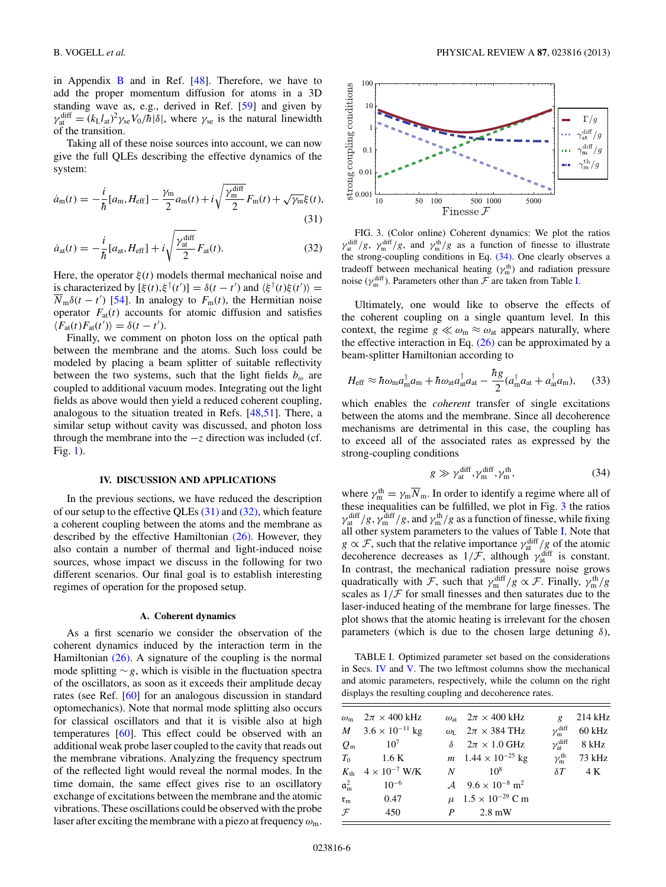<span id="page-5-0"></span>in Appendix  $\overline{B}$  $\overline{B}$  $\overline{B}$  and in Ref. [\[48\]](#page-10-0). Therefore, we have to add the proper momentum diffusion for atoms in a 3D standing wave as, e.g., derived in Ref. [\[59\]](#page-11-0) and given by  $\gamma_{\text{at}}^{\text{diff}} = (k_L l_{\text{at}})^2 \gamma_{\text{se}} V_0 / \hbar |\delta|$ , where  $\gamma_{\text{se}}$  is the natural linewidth of the transition.

Taking all of these noise sources into account, we can now give the full QLEs describing the effective dynamics of the system:

$$
\dot{a}_{\rm m}(t) = -\frac{i}{\hbar} [a_{\rm m}, H_{\rm eff}] - \frac{\gamma_{\rm m}}{2} a_{\rm m}(t) + i \sqrt{\frac{\gamma_{\rm m}^{\rm diff}}{2}} F_{\rm m}(t) + \sqrt{\gamma_{\rm m}} \xi(t), \tag{31}
$$

$$
\dot{a}_{\rm at}(t) = -\frac{i}{\hbar} [a_{\rm at}, H_{\rm eff}] + i \sqrt{\frac{\gamma_{\rm at}^{\rm diff}}{2}} F_{\rm at}(t). \tag{32}
$$

Here, the operator  $\xi(t)$  models thermal mechanical noise and is characterized by  $[\xi(t), \xi^{\dagger}(t')] = \delta(t - t')$  and  $\langle \xi^{\dagger}(t) \xi(t') \rangle =$  $\overline{N}_{m}\delta(t-t')$  [\[54\]](#page-10-0). In analogy to  $F_{m}(t)$ , the Hermitian noise operator  $F_{at}(t)$  accounts for atomic diffusion and satisfies  $\langle F_{\text{at}}(t) F_{\text{at}}(t') \rangle = \delta(t - t').$ 

Finally, we comment on photon loss on the optical path between the membrane and the atoms. Such loss could be modeled by placing a beam splitter of suitable reflectivity between the two systems, such that the light fields  $b_{\omega}$  are coupled to additional vacuum modes. Integrating out the light fields as above would then yield a reduced coherent coupling, analogous to the situation treated in Refs. [\[48,51\]](#page-10-0). There, a similar setup without cavity was discussed, and photon loss through the membrane into the −*z* direction was included (cf. Fig. [1\)](#page-1-0).

#### **IV. DISCUSSION AND APPLICATIONS**

In the previous sections, we have reduced the description of our setup to the effective QLEs (31) and (32), which feature a coherent coupling between the atoms and the membrane as described by the effective Hamiltonian [\(26\).](#page-4-0) However, they also contain a number of thermal and light-induced noise sources, whose impact we discuss in the following for two different scenarios. Our final goal is to establish interesting regimes of operation for the proposed setup.

#### **A. Coherent dynamics**

As a first scenario we consider the observation of the coherent dynamics induced by the interaction term in the Hamiltonian  $(26)$ . A signature of the coupling is the normal mode splitting ∼*g*, which is visible in the fluctuation spectra of the oscillators, as soon as it exceeds their amplitude decay rates (see Ref. [\[60\]](#page-11-0) for an analogous discussion in standard optomechanics). Note that normal mode splitting also occurs for classical oscillators and that it is visible also at high temperatures [\[60\]](#page-11-0). This effect could be observed with an additional weak probe laser coupled to the cavity that reads out the membrane vibrations. Analyzing the frequency spectrum of the reflected light would reveal the normal modes. In the time domain, the same effect gives rise to an oscillatory exchange of excitations between the membrane and the atomic vibrations. These oscillations could be observed with the probe laser after exciting the membrane with a piezo at frequency *ω*m.



FIG. 3. (Color online) Coherent dynamics: We plot the ratios  $\gamma_{at}^{\text{diff}}/g$ ,  $\gamma_{m}^{\text{diff}}/g$ , and  $\gamma_{m}^{\text{th}}/g$  as a function of finesse to illustrate the strong-coupling conditions in Eq. (34). One clearly observes a tradeoff between mechanical heating  $(\gamma_m^{\text{th}})$  and radiation pressure noise ( $\gamma_{\rm m}^{\rm diff}$ ). Parameters other than  $\mathcal F$  are taken from Table I.

Ultimately, one would like to observe the effects of the coherent coupling on a single quantum level. In this context, the regime  $g \ll \omega_{\rm m} \approx \omega_{\rm at}$  appears naturally, where the effective interaction in Eq.  $(26)$  can be approximated by a beam-splitter Hamiltonian according to

$$
H_{\rm eff} \approx \hbar \omega_{\rm m} a_{\rm m}^{\dagger} a_{\rm m} + \hbar \omega_{\rm at} a_{\rm at}^{\dagger} a_{\rm at} - \frac{\hbar g}{2} (a_{\rm m}^{\dagger} a_{\rm at} + a_{\rm at}^{\dagger} a_{\rm m}), \quad (33)
$$

which enables the *coherent* transfer of single excitations between the atoms and the membrane. Since all decoherence mechanisms are detrimental in this case, the coupling has to exceed all of the associated rates as expressed by the strong-coupling conditions

$$
g \gg \gamma_{\rm at}^{\rm diff}, \gamma_{\rm m}^{\rm diff}, \gamma_{\rm m}^{\rm th},\tag{34}
$$

where  $\gamma_m^{\text{th}} = \gamma_m \overline{N}_m$ . In order to identify a regime where all of these inequalities can be fulfilled, we plot in Fig. 3 the ratios  $\gamma_{\rm at}^{\rm diff}/g$ ,  $\gamma_{\rm m}^{\rm diff}/g$ , and  $\gamma_{\rm m}^{\rm th}/g$  as a function of finesse, while fixing all other system parameters to the values of Table I. Note that  $g \propto \mathcal{F}$ , such that the relative importance  $\gamma_{\text{at}}^{\text{diff}}/g$  of the atomic decoherence decreases as  $1/\mathcal{F}$ , although  $\gamma_{\text{at}}^{\text{diff}}$  is constant. In contrast, the mechanical radiation pressure noise grows quadratically with F, such that  $\gamma_m^{\text{diff}}/g \propto \mathcal{F}$ . Finally,  $\gamma_m^{\text{th}}/g$ scales as  $1/\mathcal{F}$  for small finesses and then saturates due to the laser-induced heating of the membrane for large finesses. The plot shows that the atomic heating is irrelevant for the chosen parameters (which is due to the chosen large detuning *δ*),

TABLE I. Optimized parameter set based on the considerations in Secs. IV and [V.](#page-7-0) The two leftmost columns show the mechanical and atomic parameters, respectively, while the column on the right displays the resulting coupling and decoherence rates.

|                          | $2\pi \times 400$ kHz                 | $\omega_{\rm at}$ $2\pi \times 400$ kHz                |                             | $214$ kHz                                |
|--------------------------|---------------------------------------|--------------------------------------------------------|-----------------------------|------------------------------------------|
| $\omega_{\rm m}$         |                                       |                                                        | $\overline{g}$              |                                          |
|                          | $M = 3.6 \times 10^{-11}$ kg          | $\omega_{I}$ $2\pi \times 384 \text{ THz}$             | $\gamma_{\rm m}^{\rm diff}$ | 60 kHz                                   |
|                          | $Q_{\rm m}$ 10 <sup>7</sup>           | $\delta = 2\pi \times 1.0 \text{ GHz}$                 |                             | $\gamma_{\text{at}}^{\text{diff}}$ 8 kHz |
|                          | $T_0$ 1.6 K                           | $m$ 1.44 $\times$ 10 <sup>-25</sup> kg                 | $\gamma_{\rm m}^{\rm th}$   | 73 kHz                                   |
|                          | $K_{\rm th}$ 4 × 10 <sup>-7</sup> W/K | $N = 108$                                              |                             | $\delta T$ 4 K                           |
| $\mathfrak{a}^2_{\rm m}$ | $10^{-6}$                             | $\lambda$ 9.6 $\times$ 10 <sup>-8</sup> m <sup>2</sup> |                             |                                          |
|                          | $r_{\rm m}$ 0.47                      | $\mu$ 1.5 × 10 <sup>-29</sup> C m                      |                             |                                          |
| $\mathcal{F}$            | 450                                   | $P = 2.8$ mW                                           |                             |                                          |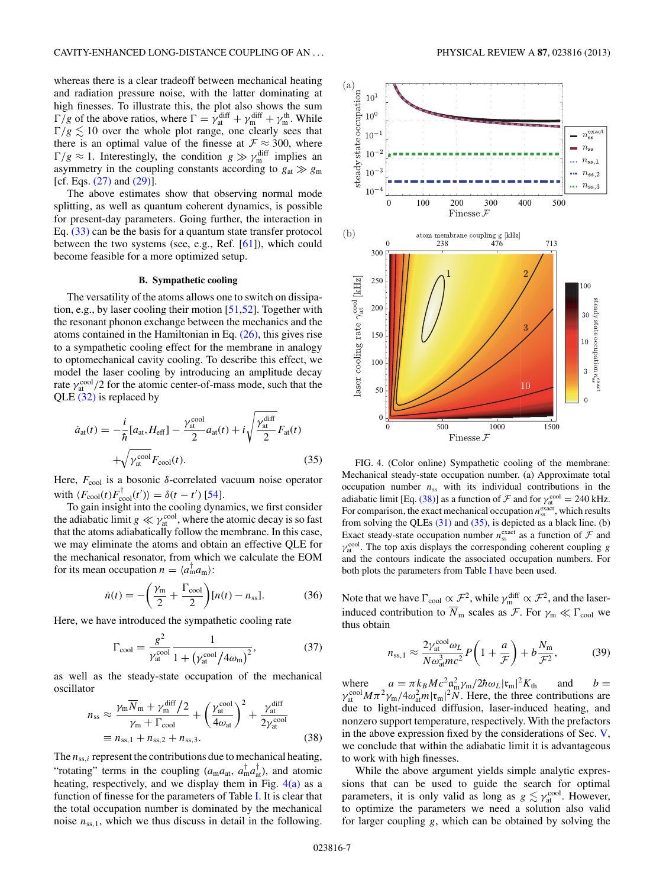<span id="page-6-0"></span>whereas there is a clear tradeoff between mechanical heating and radiation pressure noise, with the latter dominating at high finesses. To illustrate this, the plot also shows the sum  $\Gamma/g$  of the above ratios, where  $\Gamma = \gamma_{at}^{diff} + \gamma_m^{diff} + \gamma_m^{th}$ . While  $\Gamma/g \lesssim 10$  over the whole plot range, one clearly sees that there is an optimal value of the finesse at  $\mathcal{F} \approx 300$ , where  $\Gamma/g \approx 1$ . Interestingly, the condition  $g \gg \gamma_m^{\text{diff}}$  implies an asymmetry in the coupling constants according to  $g_{at} \gg g_m$ [cf. Eqs. [\(27\)](#page-4-0) and [\(29\)\]](#page-4-0).

The above estimates show that observing normal mode splitting, as well as quantum coherent dynamics, is possible for present-day parameters. Going further, the interaction in Eq. [\(33\)](#page-5-0) can be the basis for a quantum state transfer protocol between the two systems (see, e.g., Ref. [\[61\]](#page-11-0)), which could become feasible for a more optimized setup.

### **B. Sympathetic cooling**

The versatility of the atoms allows one to switch on dissipation, e.g., by laser cooling their motion [\[51,52\]](#page-10-0). Together with the resonant phonon exchange between the mechanics and the atoms contained in the Hamiltonian in Eq. [\(26\),](#page-4-0) this gives rise to a sympathetic cooling effect for the membrane in analogy to optomechanical cavity cooling. To describe this effect, we model the laser cooling by introducing an amplitude decay rate  $\gamma_{\text{at}}^{\text{cool}}/2$  for the atomic center-of-mass mode, such that the QLE [\(32\)](#page-5-0) is replaced by

$$
\dot{a}_{\rm at}(t) = -\frac{i}{\hbar} [a_{\rm at}, H_{\rm eff}] - \frac{\gamma_{\rm at}^{\rm cool}}{2} a_{\rm at}(t) + i \sqrt{\frac{\gamma_{\rm at}^{\rm diff}}{2}} F_{\rm at}(t) + i \sqrt{\gamma_{\rm at}^{\rm cool}} F_{\rm cool}(t). \tag{35}
$$

Here,  $F_{\text{cool}}$  is a bosonic *δ*-correlated vacuum noise operator with  $\langle F_{\text{cool}}(t) F_{\text{cool}}^{\dagger}(t') \rangle = \delta(t - t')$  [\[54\]](#page-10-0).

To gain insight into the cooling dynamics, we first consider the adiabatic limit  $g \ll \gamma_{\rm at}^{\rm cool}$ , where the atomic decay is so fast that the atoms adiabatically follow the membrane. In this case, we may eliminate the atoms and obtain an effective QLE for the mechanical resonator, from which we calculate the EOM for its mean occupation  $n = \langle a_m^{\dagger} a_m \rangle$ :

$$
\dot{n}(t) = -\left(\frac{\gamma_{\rm m}}{2} + \frac{\Gamma_{\rm cool}}{2}\right)[n(t) - n_{\rm ss}].\tag{36}
$$

Here, we have introduced the sympathetic cooling rate

$$
\Gamma_{\text{cool}} = \frac{g^2}{\gamma_{\text{at}}^{\text{cool}}} \frac{1}{1 + \left(\gamma_{\text{at}}^{\text{cool}} / 4\omega_m\right)^2},\tag{37}
$$

as well as the steady-state occupation of the mechanical oscillator

$$
n_{\rm ss} \approx \frac{\gamma_{\rm m} \overline{N}_{\rm m} + \gamma_{\rm m}^{\rm diff}/2}{\gamma_{\rm m} + \Gamma_{\rm cool}} + \left(\frac{\gamma_{\rm at}^{\rm cool}}{4\omega_{\rm at}}\right)^2 + \frac{\gamma_{\rm at}^{\rm diff}}{2\gamma_{\rm at}^{\rm cool}}
$$
  

$$
\equiv n_{\rm ss,1} + n_{\rm ss,2} + n_{\rm ss,3}.
$$
 (38)

The  $n_{ss,i}$  represent the contributions due to mechanical heating, "rotating" terms in the coupling  $(a_{m}a_{at}, a_{m}^{\dagger}a_{at}^{\dagger})$ , and atomic heating, respectively, and we display them in Fig.  $4(a)$  as a function of finesse for the parameters of Table [I.](#page-5-0) It is clear that the total occupation number is dominated by the mechanical noise  $n_{ss,1}$ , which we thus discuss in detail in the following.



FIG. 4. (Color online) Sympathetic cooling of the membrane: Mechanical steady-state occupation number. (a) Approximate total occupation number  $n_{ss}$  with its individual contributions in the adiabatic limit [Eq. (38)] as a function of  $\mathcal F$  and for  $\gamma_{\text{at}}^{\text{cool}} = 240 \text{ kHz}$ . For comparison, the exact mechanical occupation  $n_{\rm ss}^{\rm exact}$ , which results from solving the QLEs  $(31)$  and  $(35)$ , is depicted as a black line. (b) Exact steady-state occupation number  $n_{\text{ss}}^{\text{exact}}$  as a function of  $\mathcal F$  and  $γ<sub>at</sub><sup>cool</sup>$ . The top axis displays the corresponding coherent coupling *g* and the contours indicate the associated occupation numbers. For both plots the parameters from Table [I](#page-5-0) have been used.

Note that we have  $\Gamma_{\text{cool}} \propto \mathcal{F}^2$ , while  $\gamma_{\text{m}}^{\text{diff}} \propto \mathcal{F}^2$ , and the laserinduced contribution to  $\overline{N}_{\text{m}}$  scales as  $\mathcal{F}$ . For  $\gamma_{\text{m}} \ll \Gamma_{\text{cool}}$  we thus obtain

$$
n_{\text{ss},1} \approx \frac{2\gamma_{\text{at}}^{\text{cool}}\omega_L}{N\omega_{\text{at}}^3mc^2}P\left(1+\frac{a}{\mathcal{F}}\right) + b\frac{N_{\text{m}}}{\mathcal{F}^2},\tag{39}
$$

where  $a = \pi k_B M c^2 \frac{a^2}{m} \gamma_m / 2\hbar \omega_L |\mathbf{r}_m|^2 K_{\text{th}}$  and  $b =$  $\gamma_{\text{at}}^{\text{cool}} M \pi^2 \gamma_{\text{m}} / 4 \omega_{\text{at}}^2 m |\mathfrak{r}_{\text{m}}|^2 \tilde{N}$ . Here, the three contributions are due to light-induced diffusion, laser-induced heating, and nonzero support temperature, respectively. With the prefactors in the above expression fixed by the considerations of Sec.  $V$ , we conclude that within the adiabatic limit it is advantageous to work with high finesses.

While the above argument yields simple analytic expressions that can be used to guide the search for optimal parameters, it is only valid as long as  $g \lesssim \gamma_{\rm at}^{\rm cool}$ . However, to optimize the parameters we need a solution also valid for larger coupling *g*, which can be obtained by solving the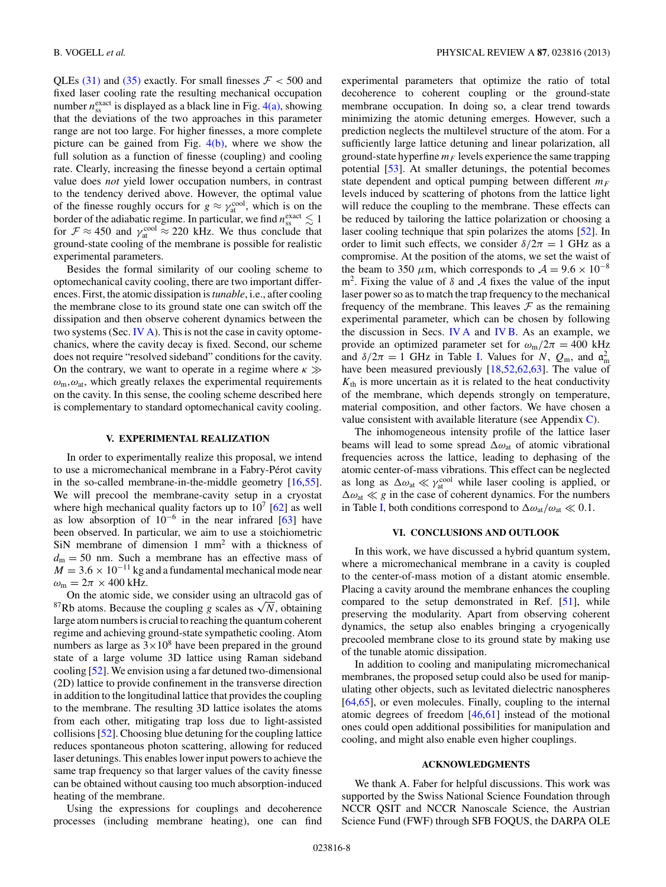<span id="page-7-0"></span>QLEs  $(31)$  and  $(35)$  exactly. For small finesses  $\mathcal{F} < 500$  and fixed laser cooling rate the resulting mechanical occupation number  $n_{ss}^{\text{exact}}$  is displayed as a black line in Fig.  $4(a)$ , showing that the deviations of the two approaches in this parameter range are not too large. For higher finesses, a more complete picture can be gained from Fig.  $4(b)$ , where we show the full solution as a function of finesse (coupling) and cooling rate. Clearly, increasing the finesse beyond a certain optimal value does *not* yield lower occupation numbers, in contrast to the tendency derived above. However, the optimal value of the finesse roughly occurs for  $g \approx \gamma_{at}^{\text{cool}}$ , which is on the border of the adiabatic regime. In particular, we find  $n_{ss}^{\text{exact}} \lesssim 1$ for  $\mathcal{F} \approx 450$  and  $\gamma_{\text{at}}^{\text{cool}} \approx 220$  kHz. We thus conclude that ground-state cooling of the membrane is possible for realistic experimental parameters.

Besides the formal similarity of our cooling scheme to optomechanical cavity cooling, there are two important differences. First, the atomic dissipation is*tunable*, i.e., after cooling the membrane close to its ground state one can switch off the dissipation and then observe coherent dynamics between the two systems (Sec. [IV A\)](#page-5-0). This is not the case in cavity optomechanics, where the cavity decay is fixed. Second, our scheme does not require "resolved sideband" conditions for the cavity. On the contrary, we want to operate in a regime where *κ ω*m*,ω*at, which greatly relaxes the experimental requirements on the cavity. In this sense, the cooling scheme described here is complementary to standard optomechanical cavity cooling.

### **V. EXPERIMENTAL REALIZATION**

In order to experimentally realize this proposal, we intend to use a micromechanical membrane in a Fabry-Pérot cavity in the so-called membrane-in-the-middle geometry [\[16,55\]](#page-10-0). We will precool the membrane-cavity setup in a cryostat where high mechanical quality factors up to  $10^7$  [\[62\]](#page-11-0) as well as low absorption of  $10^{-6}$  in the near infrared [\[63\]](#page-11-0) have been observed. In particular, we aim to use a stoichiometric SiN membrane of dimension 1 mm2 with a thickness of  $d_m = 50$  nm. Such a membrane has an effective mass of  $M = 3.6 \times 10^{-11}$  kg and a fundamental mechanical mode near  $\omega_{\rm m} = 2\pi \times 400$  kHz.

On the atomic side, we consider using an ultracold gas of <sup>87</sup>Rb atoms. Because the coupling *g* scales as  $\sqrt{N}$ , obtaining large atom numbers is crucial to reaching the quantum coherent regime and achieving ground-state sympathetic cooling. Atom numbers as large as  $3 \times 10^8$  have been prepared in the ground state of a large volume 3D lattice using Raman sideband cooling [\[52\]](#page-10-0). We envision using a far detuned two-dimensional (2D) lattice to provide confinement in the transverse direction in addition to the longitudinal lattice that provides the coupling to the membrane. The resulting 3D lattice isolates the atoms from each other, mitigating trap loss due to light-assisted collisions [\[52\]](#page-10-0). Choosing blue detuning for the coupling lattice reduces spontaneous photon scattering, allowing for reduced laser detunings. This enables lower input powers to achieve the same trap frequency so that larger values of the cavity finesse can be obtained without causing too much absorption-induced heating of the membrane.

Using the expressions for couplings and decoherence processes (including membrane heating), one can find experimental parameters that optimize the ratio of total decoherence to coherent coupling or the ground-state membrane occupation. In doing so, a clear trend towards minimizing the atomic detuning emerges. However, such a prediction neglects the multilevel structure of the atom. For a sufficiently large lattice detuning and linear polarization, all ground-state hyperfine  $m_F$  levels experience the same trapping potential [\[53\]](#page-10-0). At smaller detunings, the potential becomes state dependent and optical pumping between different  $m_F$ levels induced by scattering of photons from the lattice light will reduce the coupling to the membrane. These effects can be reduced by tailoring the lattice polarization or choosing a laser cooling technique that spin polarizes the atoms [\[52\]](#page-10-0). In order to limit such effects, we consider  $\delta/2\pi = 1$  GHz as a compromise. At the position of the atoms, we set the waist of the beam to 350  $\mu$ m, which corresponds to  $\mathcal{A} = 9.6 \times 10^{-8}$ m<sup>2</sup>. Fixing the value of  $\delta$  and  $\mathcal A$  fixes the value of the input laser power so as to match the trap frequency to the mechanical frequency of the membrane. This leaves  $\mathcal F$  as the remaining experimental parameter, which can be chosen by following the discussion in Secs. [IV A](#page-5-0) and [IV B.](#page-6-0) As an example, we provide an optimized parameter set for  $\omega_{\rm m}/2\pi = 400$  kHz and  $\delta/2\pi = 1$  GHz in Table [I.](#page-5-0) Values for *N*,  $Q_m$ , and  $\mathfrak{a}_m^2$ have been measured previously [\[18,52](#page-10-0)[,62,63\]](#page-11-0). The value of  $K<sub>th</sub>$  is more uncertain as it is related to the heat conductivity of the membrane, which depends strongly on temperature, material composition, and other factors. We have chosen a value consistent with available literature (see Appendix [C\)](#page-9-0).

The inhomogeneous intensity profile of the lattice laser beams will lead to some spread *ω*at of atomic vibrational frequencies across the lattice, leading to dephasing of the atomic center-of-mass vibrations. This effect can be neglected as long as  $\Delta \omega_{at} \ll \gamma_{at}^{\text{cool}}$  while laser cooling is applied, or  $\Delta \omega_{\text{at}} \ll g$  in the case of coherent dynamics. For the numbers in Table [I,](#page-5-0) both conditions correspond to  $\Delta \omega_{\text{at}}/\omega_{\text{at}} \ll 0.1$ .

### **VI. CONCLUSIONS AND OUTLOOK**

In this work, we have discussed a hybrid quantum system, where a micromechanical membrane in a cavity is coupled to the center-of-mass motion of a distant atomic ensemble. Placing a cavity around the membrane enhances the coupling compared to the setup demonstrated in Ref. [\[51\]](#page-10-0), while preserving the modularity. Apart from observing coherent dynamics, the setup also enables bringing a cryogenically precooled membrane close to its ground state by making use of the tunable atomic dissipation.

In addition to cooling and manipulating micromechanical membranes, the proposed setup could also be used for manipulating other objects, such as levitated dielectric nanospheres [\[64,65\]](#page-11-0), or even molecules. Finally, coupling to the internal atomic degrees of freedom [\[46,](#page-10-0)[61\]](#page-11-0) instead of the motional ones could open additional possibilities for manipulation and cooling, and might also enable even higher couplings.

### **ACKNOWLEDGMENTS**

We thank A. Faber for helpful discussions. This work was supported by the Swiss National Science Foundation through NCCR QSIT and NCCR Nanoscale Science, the Austrian Science Fund (FWF) through SFB FOQUS, the DARPA OLE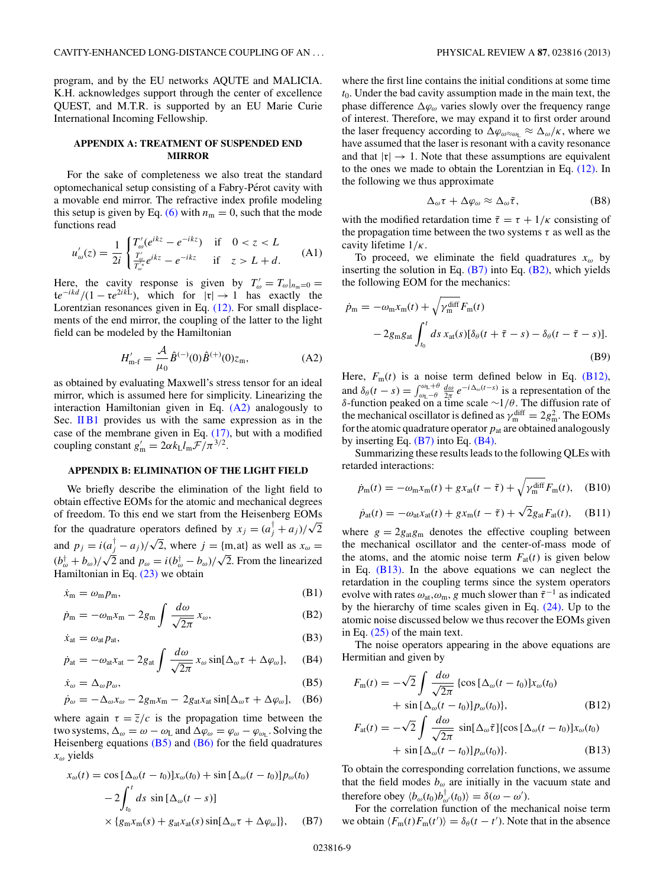<span id="page-8-0"></span>program, and by the EU networks AQUTE and MALICIA. K.H. acknowledges support through the center of excellence QUEST, and M.T.R. is supported by an EU Marie Curie International Incoming Fellowship.

# **APPENDIX A: TREATMENT OF SUSPENDED END MIRROR**

For the sake of completeness we also treat the standard optomechanical setup consisting of a Fabry-Pérot cavity with a movable end mirror. The refractive index profile modeling this setup is given by Eq. [\(6\)](#page-2-0) with  $n_m = 0$ , such that the mode functions read

$$
u'_{\omega}(z) = \frac{1}{2i} \begin{cases} T'_{\omega}(e^{ikz} - e^{-ikz}) & \text{if } 0 < z < L \\ \frac{T'_{\omega}}{T''_{\omega}} e^{ikz} - e^{-ikz} & \text{if } z > L + d. \end{cases}
$$
 (A1)

Here, the cavity response is given by  $T'_{\omega} = T_{\omega}|_{n=0} =$  $te^{-ikd}/(1 - re^{2ikL})$ , which for  $|r| \rightarrow 1$  has exactly the Lorentzian resonances given in Eq. [\(12\).](#page-2-0) For small displacements of the end mirror, the coupling of the latter to the light field can be modeled by the Hamiltonian

$$
H'_{\mathbf{m}\text{-}\mathbf{f}} = \frac{\mathcal{A}}{\mu_0} \hat{B}^{(-)}(0)\hat{B}^{(+)}(0)z_{\mathbf{m}},\tag{A2}
$$

as obtained by evaluating Maxwell's stress tensor for an ideal mirror, which is assumed here for simplicity. Linearizing the interaction Hamiltonian given in Eq. (A2) analogously to Sec.  $\overline{I}$  IB1 provides us with the same expression as in the case of the membrane given in Eq. [\(17\),](#page-3-0) but with a modified coupling constant  $g'_{\text{m}} = 2\alpha k_{\text{L}}l_{\text{m}}\mathcal{F}/\pi^{3/2}$ .

### **APPENDIX B: ELIMINATION OF THE LIGHT FIELD**

We briefly describe the elimination of the light field to obtain effective EOMs for the atomic and mechanical degrees of freedom. To this end we start from the Heisenberg EOMs for the quadrature operators defined by  $x_j = (a_j^{\dagger} + a_j)/\sqrt{2}$ and  $p_j = i(a_j^{\dagger} - a_j)/\sqrt{2}$ , where  $j = \{\text{m}, \text{at}\}\$ as well as  $x_{\omega} =$  $(b^{\dagger}_{\omega} + b_{\omega})/\sqrt{2}$  and  $p_{\omega} = i(b^{\dagger}_{\omega} - b_{\omega})/\sqrt{2}$ . From the linearized Hamiltonian in Eq. [\(23\)](#page-3-0) we obtain

$$
\dot{x}_{\rm m} = \omega_{\rm m} p_{\rm m},\tag{B1}
$$

$$
\dot{p}_{\rm m} = -\omega_{\rm m}x_{\rm m} - 2g_{\rm m} \int \frac{d\omega}{\sqrt{2\pi}} x_{\omega},\tag{B2}
$$

$$
\dot{x}_{at} = \omega_{at} p_{at},\tag{B3}
$$

$$
\dot{p}_{\rm at} = -\omega_{\rm at}x_{\rm at} - 2g_{\rm at} \int \frac{d\omega}{\sqrt{2\pi}} x_{\omega} \sin[\Delta_{\omega}\tau + \Delta\varphi_{\omega}], \quad (B4)
$$

$$
\dot{x}_{\omega} = \Delta_{\omega} p_{\omega},\tag{B5}
$$

$$
\dot{p}_{\omega} = -\Delta_{\omega} x_{\omega} - 2g_{\rm m} x_{\rm m} - 2g_{\rm at} x_{\rm at} \sin[\Delta_{\omega} \tau + \Delta \varphi_{\omega}], \quad (B6)
$$

where again  $\tau = \overline{z}/c$  is the propagation time between the two systems,  $\Delta_{\omega} = \omega - \omega_L$  and  $\Delta \varphi_{\omega} = \varphi_{\omega} - \varphi_{\omega_L}$ . Solving the Heisenberg equations  $(B5)$  and  $(B6)$  for the field quadratures *xω* yields

$$
x_{\omega}(t) = \cos \left[\Delta_{\omega}(t - t_0)\right]x_{\omega}(t_0) + \sin \left[\Delta_{\omega}(t - t_0)\right]p_{\omega}(t_0)
$$

$$
-2\int_{t_0}^t ds \sin \left[\Delta_{\omega}(t - s)\right]
$$

$$
\times \left\{g_m x_m(s) + g_{at} x_{at}(s) \sin[\Delta_{\omega}\tau + \Delta \varphi_{\omega}]\right\}, \quad (B7)
$$

where the first line contains the initial conditions at some time *t*0. Under the bad cavity assumption made in the main text, the phase difference  $\Delta\varphi_{\omega}$  varies slowly over the frequency range of interest. Therefore, we may expand it to first order around the laser frequency according to  $\Delta \varphi_{\omega \approx \omega_L} \approx \Delta_{\omega}/\kappa$ , where we have assumed that the laser is resonant with a cavity resonance and that  $|\mathfrak{r}| \to 1$ . Note that these assumptions are equivalent to the ones we made to obtain the Lorentzian in Eq. [\(12\).](#page-2-0) In the following we thus approximate

$$
\Delta_{\omega}\tau + \Delta\varphi_{\omega} \approx \Delta_{\omega}\tilde{\tau}, \tag{B8}
$$

with the modified retardation time  $\tilde{\tau} = \tau + 1/\kappa$  consisting of the propagation time between the two systems *τ* as well as the cavity lifetime 1*/κ*.

To proceed, we eliminate the field quadratures *xω* by inserting the solution in Eq.  $(B7)$  into Eq.  $(B2)$ , which yields the following EOM for the mechanics:

$$
\dot{p}_{\rm m} = -\omega_{\rm m} x_{\rm m}(t) + \sqrt{\gamma_{\rm m}^{\rm diff}} F_{\rm m}(t)
$$
  
- 2g<sub>m</sub>g<sub>at</sub>  $\int_{t_0}^t ds \, x_{\rm at}(s) [\delta_\theta(t + \tilde{\tau} - s) - \delta_\theta(t - \tilde{\tau} - s)].$  (B9)

Here,  $F_m(t)$  is a noise term defined below in Eq. (B12), and  $\delta_{\theta}(t-s) = \int_{\omega_L-\theta}^{\omega_L+\theta} \frac{d\omega}{2\pi} e^{-i\Delta_{\omega}(t-s)}$  is a representation of the *δ*-function peaked on a time scale ∼1*/θ*. The diffusion rate of the mechanical oscillator is defined as  $\gamma_{\rm m}^{\rm diff} = 2g_{\rm m}^2$ . The EOMs for the atomic quadrature operator  $p_{at}$  are obtained analogously by inserting Eq.  $(B7)$  into Eq.  $(B4)$ .

Summarizing these results leads to the following QLEs with retarded interactions:

$$
\dot{p}_{\rm m}(t) = -\omega_{\rm m}x_{\rm m}(t) + gx_{\rm at}(t-\tilde{\tau}) + \sqrt{\gamma_{\rm m}^{\rm diff}}F_{\rm m}(t), \quad \text{(B10)}
$$

$$
\dot{p}_{\rm at}(t) = -\omega_{\rm at}x_{\rm at}(t) + gx_{\rm m}(t - \tilde{\tau}) + \sqrt{2}g_{\rm at}F_{\rm at}(t), \quad \text{(B11)}
$$

where  $g = 2g_{\text{at}}g_{\text{m}}$  denotes the effective coupling between the mechanical oscillator and the center-of-mass mode of the atoms, and the atomic noise term  $F_{at}(t)$  is given below in Eq. (B13). In the above equations we can neglect the retardation in the coupling terms since the system operators evolve with rates  $\omega_{at}$ ,  $\omega_m$ , *g* much slower than  $\tilde{\tau}^{-1}$  as indicated by the hierarchy of time scales given in Eq.  $(24)$ . Up to the atomic noise discussed below we thus recover the EOMs given in Eq. [\(25\)](#page-4-0) of the main text.

The noise operators appearing in the above equations are Hermitian and given by

$$
F_{\rm m}(t) = -\sqrt{2} \int \frac{d\omega}{\sqrt{2\pi}} \left\{ \cos \left[ \Delta_{\omega}(t - t_0) \right] x_{\omega}(t_0) \right. \\ \left. + \sin \left[ \Delta_{\omega}(t - t_0) \right] p_{\omega}(t_0) \right\}, \qquad (B12)
$$
\n
$$
F_{\rm at}(t) = -\sqrt{2} \int \frac{d\omega}{\sqrt{2\pi}} \sin \left[ \Delta_{\omega} \tilde{\tau} \right] \left\{ \cos \left[ \Delta_{\omega}(t - t_0) \right] x_{\omega}(t_0) \right\}
$$

$$
F_{\text{at}}(t) = -\sqrt{2} \int \frac{d\omega}{\sqrt{2\pi}} \sin[\Delta_{\omega}\tilde{\tau}]\{\cos[\Delta_{\omega}(t - t_0)]x_{\omega}(t_0) + \sin[\Delta_{\omega}(t - t_0)]p_{\omega}(t_0)\}.
$$
 (B13)

To obtain the corresponding correlation functions, we assume that the field modes  $b_{\omega}$  are initially in the vacuum state and therefore obey  $\langle b_{\omega}(t_0)b_{\omega'}^{\dagger}(t_0)\rangle = \delta(\omega - \omega').$ 

For the correlation function of the mechanical noise term we obtain  $\langle F_m(t)F_m(t')\rangle = \delta_\theta(t-t')$ . Note that in the absence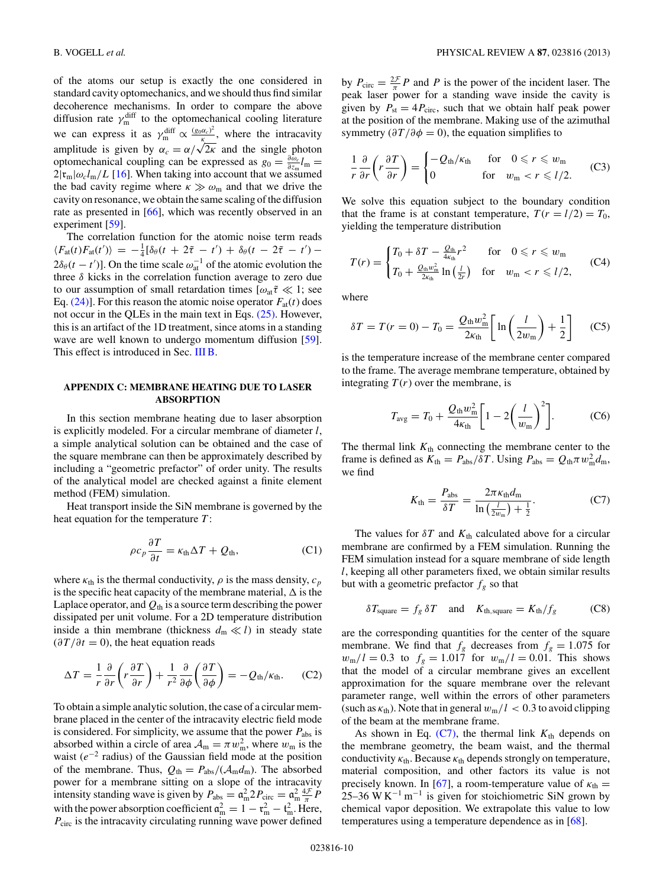<span id="page-9-0"></span>of the atoms our setup is exactly the one considered in standard cavity optomechanics, and we should thus find similar decoherence mechanisms. In order to compare the above diffusion rate  $\gamma_{m}^{\text{diff}}$  to the optomechanical cooling literature we can express it as  $\gamma_m^{\text{diff}} \propto \frac{(g_0 \alpha_c)^2}{\kappa}$ , where the intracavity amplitude is given by  $\alpha_c = \alpha/\sqrt{2\kappa}$  and the single photon optomechanical coupling can be expressed as  $g_0 = \frac{\partial \omega_c}{\partial z_m} l_m =$  $2|\mathfrak{r}_{\mathfrak{m}}|\omega_c l_{\mathfrak{m}}/L$  [\[16\]](#page-10-0). When taking into account that we assumed the bad cavity regime where  $\kappa \gg \omega_{\rm m}$  and that we drive the cavity on resonance, we obtain the same scaling of the diffusion rate as presented in [\[66\]](#page-11-0), which was recently observed in an experiment [\[59\]](#page-11-0).

The correlation function for the atomic noise term reads  $\langle F_{\text{at}}(t) F_{\text{at}}(t') \rangle = -\frac{1}{4} [\delta_{\theta}(t + 2\tilde{\tau} - t') + \delta_{\theta}(t - 2\tilde{\tau} - t') 2\delta_\theta(t-t')$ ]. On the time scale  $\omega_{at}^{-1}$  of the atomic evolution the three *δ* kicks in the correlation function average to zero due to our assumption of small retardation times  $[\omega_{at}\tilde{\tau} \ll 1]$ ; see Eq.  $(24)$ ]. For this reason the atomic noise operator  $F_{at}(t)$  does not occur in the QLEs in the main text in Eqs. [\(25\).](#page-4-0) However, this is an artifact of the 1D treatment, since atoms in a standing wave are well known to undergo momentum diffusion [\[59\]](#page-11-0). This effect is introduced in Sec. [III B.](#page-4-0)

# **APPENDIX C: MEMBRANE HEATING DUE TO LASER ABSORPTION**

In this section membrane heating due to laser absorption is explicitly modeled. For a circular membrane of diameter *l*, a simple analytical solution can be obtained and the case of the square membrane can then be approximately described by including a "geometric prefactor" of order unity. The results of the analytical model are checked against a finite element method (FEM) simulation.

Heat transport inside the SiN membrane is governed by the heat equation for the temperature *T* :

$$
\rho c_p \frac{\partial T}{\partial t} = \kappa_{\text{th}} \Delta T + Q_{\text{th}},\tag{C1}
$$

where  $\kappa_{\text{th}}$  is the thermal conductivity,  $\rho$  is the mass density,  $c_p$ is the specific heat capacity of the membrane material,  $\Delta$  is the Laplace operator, and  $Q<sub>th</sub>$  is a source term describing the power dissipated per unit volume. For a 2D temperature distribution inside a thin membrane (thickness  $d_m \ll l$ ) in steady state  $(\partial T/\partial t = 0)$ , the heat equation reads

$$
\Delta T = \frac{1}{r} \frac{\partial}{\partial r} \left( r \frac{\partial T}{\partial r} \right) + \frac{1}{r^2} \frac{\partial}{\partial \phi} \left( \frac{\partial T}{\partial \phi} \right) = -Q_{\text{th}}/\kappa_{\text{th}}.
$$
 (C2)

To obtain a simple analytic solution, the case of a circular membrane placed in the center of the intracavity electric field mode is considered. For simplicity, we assume that the power *P*abs is absorbed within a circle of area  $A_m = \pi w_m^2$ , where  $w_m$  is the waist (*e*<sup>−</sup><sup>2</sup> radius) of the Gaussian field mode at the position of the membrane. Thus,  $Q_{\text{th}} = P_{\text{abs}} / (A_{\text{m}} d_{\text{m}})$ . The absorbed power for a membrane sitting on a slope of the intracavity intensity standing wave is given by  $P_{\text{abs}} = \mathfrak{a}_{\text{m}}^2 2 P_{\text{circ}} = \mathfrak{a}_{\text{m}}^2 \frac{4\mathcal{F}}{\pi} P$ with the power absorption coefficient  $\mathfrak{a}_m^2 = 1 - \mathfrak{r}_m^2 - \mathfrak{t}_m^2$ . Here, *P*<sub>circ</sub> is the intracavity circulating running wave power defined

by  $P_{\text{circ}} = \frac{2\mathcal{F}}{\pi} P$  and *P* is the power of the incident laser. The peak laser power for a standing wave inside the cavity is given by  $P_{\text{st}} = 4P_{\text{circ}}$ , such that we obtain half peak power at the position of the membrane. Making use of the azimuthal symmetry ( $\partial T/\partial \phi = 0$ ), the equation simplifies to

$$
\frac{1}{r}\frac{\partial}{\partial r}\left(r\frac{\partial T}{\partial r}\right) = \begin{cases} -Q_{\text{th}}/\kappa_{\text{th}} & \text{for } 0 \leq r \leq w_{\text{m}} \\ 0 & \text{for } w_{\text{m}} < r \leq l/2. \end{cases}
$$
 (C3)

We solve this equation subject to the boundary condition that the frame is at constant temperature,  $T(r = l/2) = T_0$ , yielding the temperature distribution

$$
T(r) = \begin{cases} T_0 + \delta T - \frac{Q_{\text{th}}}{4\kappa_{\text{th}}} r^2 & \text{for} \quad 0 \leqslant r \leqslant w_{\text{m}} \\ T_0 + \frac{Q_{\text{th}} w_{\text{m}}^2}{2\kappa_{\text{th}}} \ln\left(\frac{l}{2r}\right) & \text{for} \quad w_{\text{m}} < r \leqslant l/2, \end{cases} \tag{C4}
$$

where

$$
\delta T = T(r=0) - T_0 = \frac{Q_{\text{th}} w_{\text{m}}^2}{2\kappa_{\text{th}}} \left[ \ln \left( \frac{l}{2w_{\text{m}}} \right) + \frac{1}{2} \right] \tag{C5}
$$

is the temperature increase of the membrane center compared to the frame. The average membrane temperature, obtained by integrating  $T(r)$  over the membrane, is

$$
T_{\text{avg}} = T_0 + \frac{Q_{\text{th}} w_{\text{m}}^2}{4\kappa_{\text{th}}} \bigg[ 1 - 2 \bigg( \frac{l}{w_{\text{m}}} \bigg)^2 \bigg]. \tag{C6}
$$

The thermal link  $K<sub>th</sub>$  connecting the membrane center to the frame is defined as  $K_{\text{th}} = P_{\text{abs}}/\delta T$ . Using  $P_{\text{abs}} = Q_{\text{th}} \pi w_{\text{m}}^2 d_{\text{m}}$ , we find

$$
K_{\text{th}} = \frac{P_{\text{abs}}}{\delta T} = \frac{2\pi\kappa_{\text{th}}d_{\text{m}}}{\ln\left(\frac{l}{2w_{\text{m}}}\right) + \frac{1}{2}}.\tag{C7}
$$

The values for  $\delta T$  and  $K_{\text{th}}$  calculated above for a circular membrane are confirmed by a FEM simulation. Running the FEM simulation instead for a square membrane of side length *l*, keeping all other parameters fixed, we obtain similar results but with a geometric prefactor  $f_g$  so that

$$
\delta T_{\text{square}} = f_g \, \delta T \quad \text{and} \quad K_{\text{th,square}} = K_{\text{th}} / f_g \tag{C8}
$$

are the corresponding quantities for the center of the square membrane. We find that  $f_g$  decreases from  $f_g = 1.075$  for  $w_m/l = 0.3$  to  $f_g = 1.017$  for  $w_m/l = 0.01$ . This shows that the model of a circular membrane gives an excellent approximation for the square membrane over the relevant parameter range, well within the errors of other parameters (such as  $\kappa_{\text{th}}$ ). Note that in general  $w_{\text{m}}/l < 0.3$  to avoid clipping of the beam at the membrane frame.

As shown in Eq.  $(C7)$ , the thermal link  $K<sub>th</sub>$  depends on the membrane geometry, the beam waist, and the thermal conductivity  $\kappa_{\text{th}}$ . Because  $\kappa_{\text{th}}$  depends strongly on temperature, material composition, and other factors its value is not precisely known. In [\[67\]](#page-11-0), a room-temperature value of  $\kappa_{\text{th}} =$ 25–36 W K<sup>-1</sup> m<sup>-1</sup> is given for stoichiometric SiN grown by chemical vapor deposition. We extrapolate this value to low temperatures using a temperature dependence as in [\[68\]](#page-11-0).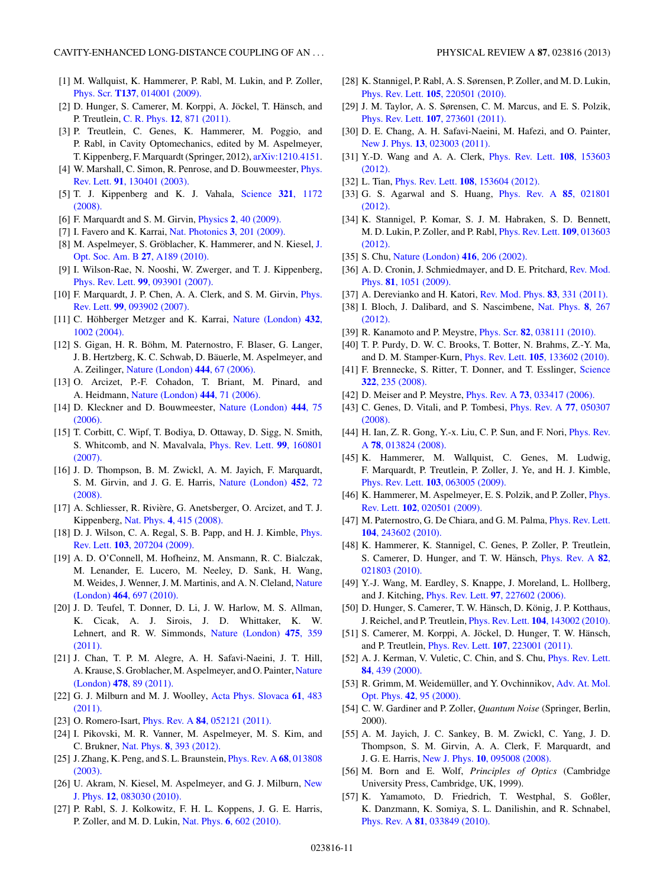- <span id="page-10-0"></span>[1] M. Wallquist, K. Hammerer, P. Rabl, M. Lukin, and P. Zoller, Phys. Scr. **T137**[, 014001 \(2009\).](http://dx.doi.org/10.1088/0031-8949/2009/T137/014001)
- [2] D. Hunger, S. Camerer, M. Korppi, A. Jöckel, T. Hänsch, and P. Treutlein, C. R. Phys. **12**[, 871 \(2011\).](http://dx.doi.org/10.1016/j.crhy.2011.04.015)
- [3] P. Treutlein, C. Genes, K. Hammerer, M. Poggio, and P. Rabl, in Cavity Optomechanics, edited by M. Aspelmeyer, T. Kippenberg, F. Marquardt (Springer, 2012), [arXiv:1210.4151.](http://arXiv.org/abs/arXiv:1210.4151)
- [4] W. Marshall, C. Simon, R. Penrose, and D. Bouwmeester, [Phys.](http://dx.doi.org/10.1103/PhysRevLett.91.130401) Rev. Lett. **91**[, 130401 \(2003\).](http://dx.doi.org/10.1103/PhysRevLett.91.130401)
- [5] T. J. Kippenberg and K. J. Vahala, [Science](http://dx.doi.org/10.1126/science.1156032) **321**, 1172 [\(2008\).](http://dx.doi.org/10.1126/science.1156032)
- [6] F. Marquardt and S. M. Girvin, Physics **2**[, 40 \(2009\).](http://dx.doi.org/10.1103/Physics.2.40)
- [7] I. Favero and K. Karrai, [Nat. Photonics](http://dx.doi.org/10.1038/nphoton.2009.42) **3**, 201 (2009).
- [8] M. Aspelmeyer, S. Gröblacher, K. Hammerer, and N. Kiesel, [J.](http://dx.doi.org/10.1364/JOSAB.27.00A189) [Opt. Soc. Am. B](http://dx.doi.org/10.1364/JOSAB.27.00A189) **27**, A189 (2010).
- [9] I. Wilson-Rae, N. Nooshi, W. Zwerger, and T. J. Kippenberg, Phys. Rev. Lett. **99**[, 093901 \(2007\).](http://dx.doi.org/10.1103/PhysRevLett.99.093901)
- [10] F. Marquardt, J. P. Chen, A. A. Clerk, and S. M. Girvin, *[Phys.](http://dx.doi.org/10.1103/PhysRevLett.99.093902)* Rev. Lett. **99**[, 093902 \(2007\).](http://dx.doi.org/10.1103/PhysRevLett.99.093902)
- [11] C. Höhberger Metzger and K. Karrai, [Nature \(London\)](http://dx.doi.org/10.1038/nature03118) 432, [1002 \(2004\).](http://dx.doi.org/10.1038/nature03118)
- [12] S. Gigan, H. R. Böhm, M. Paternostro, F. Blaser, G. Langer, J. B. Hertzberg, K. C. Schwab, D. Bäuerle, M. Aspelmeyer, and A. Zeilinger, [Nature \(London\)](http://dx.doi.org/10.1038/nature05273) **444**, 67 (2006).
- [13] O. Arcizet, P.-F. Cohadon, T. Briant, M. Pinard, and A. Heidmann, [Nature \(London\)](http://dx.doi.org/10.1038/nature05244) **444**, 71 (2006).
- [14] D. Kleckner and D. Bouwmeester, [Nature \(London\)](http://dx.doi.org/10.1038/nature05231) **444**, 75 [\(2006\).](http://dx.doi.org/10.1038/nature05231)
- [15] T. Corbitt, C. Wipf, T. Bodiya, D. Ottaway, D. Sigg, N. Smith, S. Whitcomb, and N. Mavalvala, [Phys. Rev. Lett.](http://dx.doi.org/10.1103/PhysRevLett.99.160801) **99**, 160801 [\(2007\).](http://dx.doi.org/10.1103/PhysRevLett.99.160801)
- [16] J. D. Thompson, B. M. Zwickl, A. M. Jayich, F. Marquardt, S. M. Girvin, and J. G. E. Harris, [Nature \(London\)](http://dx.doi.org/10.1038/nature06715) **452**, 72 [\(2008\).](http://dx.doi.org/10.1038/nature06715)
- [17] A. Schliesser, R. Rivière, G. Anetsberger, O. Arcizet, and T. J. Kippenberg, Nat. Phys. **4**[, 415 \(2008\).](http://dx.doi.org/10.1038/nphys939)
- [18] D. J. Wilson, C. A. Regal, S. B. Papp, and H. J. Kimble, *[Phys.](http://dx.doi.org/10.1103/PhysRevLett.103.207204)* Rev. Lett. **103**[, 207204 \(2009\).](http://dx.doi.org/10.1103/PhysRevLett.103.207204)
- [19] A. D. O'Connell, M. Hofheinz, M. Ansmann, R. C. Bialczak, M. Lenander, E. Lucero, M. Neeley, D. Sank, H. Wang, M. Weides, J. Wenner, J. M. Martinis, and A. N. Cleland, [Nature](http://dx.doi.org/10.1038/nature08967) (London) **464**[, 697 \(2010\).](http://dx.doi.org/10.1038/nature08967)
- [20] J. D. Teufel, T. Donner, D. Li, J. W. Harlow, M. S. Allman, K. Cicak, A. J. Sirois, J. D. Whittaker, K. W. Lehnert, and R. W. Simmonds, [Nature \(London\)](http://dx.doi.org/10.1038/nature10261) **475**, 359 [\(2011\).](http://dx.doi.org/10.1038/nature10261)
- [21] J. Chan, T. P. M. Alegre, A. H. Safavi-Naeini, J. T. Hill, A. Krause, S. Groblacher, M. Aspelmeyer, and O. Painter, [Nature](http://dx.doi.org/10.1038/nature10461) (London) **478**[, 89 \(2011\).](http://dx.doi.org/10.1038/nature10461)
- [22] G. J. Milburn and M. J. Woolley, [Acta Phys. Slovaca](http://dx.doi.org/10.2478/v10155-011-0005-7) **61**, 483 [\(2011\).](http://dx.doi.org/10.2478/v10155-011-0005-7)
- [23] O. Romero-Isart, Phys. Rev. A **84**[, 052121 \(2011\).](http://dx.doi.org/10.1103/PhysRevA.84.052121)
- [24] I. Pikovski, M. R. Vanner, M. Aspelmeyer, M. S. Kim, and C. Brukner, Nat. Phys. **8**[, 393 \(2012\).](http://dx.doi.org/10.1038/nphys2262)
- [25] J. Zhang, K. Peng, and S. L. Braunstein, [Phys. Rev. A](http://dx.doi.org/10.1103/PhysRevA.68.013808) **68**, 013808 [\(2003\).](http://dx.doi.org/10.1103/PhysRevA.68.013808)
- [26] U. Akram, N. Kiesel, M. Aspelmeyer, and G. J. Milburn, [New](http://dx.doi.org/10.1088/1367-2630/12/8/083030) J. Phys. **12**[, 083030 \(2010\).](http://dx.doi.org/10.1088/1367-2630/12/8/083030)
- [27] P. Rabl, S. J. Kolkowitz, F. H. L. Koppens, J. G. E. Harris, P. Zoller, and M. D. Lukin, Nat. Phys. **6**[, 602 \(2010\).](http://dx.doi.org/10.1038/nphys1679)
- [28] K. Stannigel, P. Rabl, A. S. Sørensen, P. Zoller, and M. D. Lukin, Phys. Rev. Lett. **105**[, 220501 \(2010\).](http://dx.doi.org/10.1103/PhysRevLett.105.220501)
- [29] J. M. Taylor, A. S. Sørensen, C. M. Marcus, and E. S. Polzik, Phys. Rev. Lett. **107**[, 273601 \(2011\).](http://dx.doi.org/10.1103/PhysRevLett.107.273601)
- [30] D. E. Chang, A. H. Safavi-Naeini, M. Hafezi, and O. Painter, New J. Phys. **13**[, 023003 \(2011\).](http://dx.doi.org/10.1088/1367-2630/13/2/023003)
- [31] Y.-D. Wang and A. A. Clerk, [Phys. Rev. Lett.](http://dx.doi.org/10.1103/PhysRevLett.108.153603) **108**, 153603 [\(2012\).](http://dx.doi.org/10.1103/PhysRevLett.108.153603)
- [32] L. Tian, Phys. Rev. Lett. **108**[, 153604 \(2012\).](http://dx.doi.org/10.1103/PhysRevLett.108.153604)
- [33] G. S. Agarwal and S. Huang, [Phys. Rev. A](http://dx.doi.org/10.1103/PhysRevA.85.021801) **85**, 021801 [\(2012\).](http://dx.doi.org/10.1103/PhysRevA.85.021801)
- [34] K. Stannigel, P. Komar, S. J. M. Habraken, S. D. Bennett, M. D. Lukin, P. Zoller, and P. Rabl, [Phys. Rev. Lett.](http://dx.doi.org/10.1103/PhysRevLett.109.013603) **109**, 013603 [\(2012\).](http://dx.doi.org/10.1103/PhysRevLett.109.013603)
- [35] S. Chu, [Nature \(London\)](http://dx.doi.org/10.1038/416206a) **416**, 206 (2002).
- [36] A. D. Cronin, J. Schmiedmayer, and D. E. Pritchard, [Rev. Mod.](http://dx.doi.org/10.1103/RevModPhys.81.1051) Phys. **81**[, 1051 \(2009\).](http://dx.doi.org/10.1103/RevModPhys.81.1051)
- [37] A. Derevianko and H. Katori, [Rev. Mod. Phys.](http://dx.doi.org/10.1103/RevModPhys.83.331) **83**, 331 (2011).
- [38] I. Bloch, J. Dalibard, and S. Nascimbene, [Nat. Phys.](http://dx.doi.org/10.1038/nphys2259) **8**, 267 [\(2012\).](http://dx.doi.org/10.1038/nphys2259)
- [39] R. Kanamoto and P. Meystre, Phys. Scr. **82**[, 038111 \(2010\).](http://dx.doi.org/10.1088/0031-8949/82/03/038111)
- [40] T. P. Purdy, D. W. C. Brooks, T. Botter, N. Brahms, Z.-Y. Ma, and D. M. Stamper-Kurn, Phys. Rev. Lett. **105**[, 133602 \(2010\).](http://dx.doi.org/10.1103/PhysRevLett.105.133602)
- [41] F. Brennecke, S. Ritter, T. Donner, and T. Esslinger, [Science](http://dx.doi.org/10.1126/science.1163218) **322**[, 235 \(2008\).](http://dx.doi.org/10.1126/science.1163218)
- [42] D. Meiser and P. Meystre, Phys. Rev. A **73**[, 033417 \(2006\).](http://dx.doi.org/10.1103/PhysRevA.73.033417)
- [43] C. Genes, D. Vitali, and P. Tombesi, [Phys. Rev. A](http://dx.doi.org/10.1103/PhysRevA.77.050307) **77**, 050307 [\(2008\).](http://dx.doi.org/10.1103/PhysRevA.77.050307)
- [44] H. Ian, Z. R. Gong, Y.-x. Liu, C. P. Sun, and F. Nori, *[Phys. Rev.](http://dx.doi.org/10.1103/PhysRevA.78.013824)* A **78**[, 013824 \(2008\).](http://dx.doi.org/10.1103/PhysRevA.78.013824)
- [45] K. Hammerer, M. Wallquist, C. Genes, M. Ludwig, F. Marquardt, P. Treutlein, P. Zoller, J. Ye, and H. J. Kimble, Phys. Rev. Lett. **103**[, 063005 \(2009\).](http://dx.doi.org/10.1103/PhysRevLett.103.063005)
- [46] K. Hammerer, M. Aspelmeyer, E. S. Polzik, and P. Zoller, *[Phys.](http://dx.doi.org/10.1103/PhysRevLett.102.020501)* Rev. Lett. **102**[, 020501 \(2009\).](http://dx.doi.org/10.1103/PhysRevLett.102.020501)
- [47] M. Paternostro, G. De Chiara, and G. M. Palma, *[Phys. Rev. Lett.](http://dx.doi.org/10.1103/PhysRevLett.104.243602)* **104**[, 243602 \(2010\).](http://dx.doi.org/10.1103/PhysRevLett.104.243602)
- [48] K. Hammerer, K. Stannigel, C. Genes, P. Zoller, P. Treutlein, S. Camerer, D. Hunger, and T. W. Hänsch, *[Phys. Rev. A](http://dx.doi.org/10.1103/PhysRevA.82.021803)* 82, [021803 \(2010\).](http://dx.doi.org/10.1103/PhysRevA.82.021803)
- [49] Y.-J. Wang, M. Eardley, S. Knappe, J. Moreland, L. Hollberg, and J. Kitching, Phys. Rev. Lett. **97**[, 227602 \(2006\).](http://dx.doi.org/10.1103/PhysRevLett.97.227602)
- [50] D. Hunger, S. Camerer, T. W. Hänsch, D. König, J. P. Kotthaus, J. Reichel, and P. Treutlein, Phys. Rev. Lett. **104**[, 143002 \(2010\).](http://dx.doi.org/10.1103/PhysRevLett.104.143002)
- [51] S. Camerer, M. Korppi, A. Jöckel, D. Hunger, T. W. Hänsch, and P. Treutlein, Phys. Rev. Lett. **107**[, 223001 \(2011\).](http://dx.doi.org/10.1103/PhysRevLett.107.223001)
- [52] A. J. Kerman, V. Vuletic, C. Chin, and S. Chu, *[Phys. Rev. Lett.](http://dx.doi.org/10.1103/PhysRevLett.84.439)* **84**[, 439 \(2000\).](http://dx.doi.org/10.1103/PhysRevLett.84.439)
- [53] R. Grimm, M. Weidemüller, and Y. Ovchinnikov, [Adv. At. Mol.](http://dx.doi.org/10.1016/S1049-250X(08)60186-X) Opt. Phys. **42**[, 95 \(2000\).](http://dx.doi.org/10.1016/S1049-250X(08)60186-X)
- [54] C. W. Gardiner and P. Zoller, *Quantum Noise* (Springer, Berlin, 2000).
- [55] A. M. Jayich, J. C. Sankey, B. M. Zwickl, C. Yang, J. D. Thompson, S. M. Girvin, A. A. Clerk, F. Marquardt, and J. G. E. Harris, New J. Phys. **10**[, 095008 \(2008\).](http://dx.doi.org/10.1088/1367-2630/10/9/095008)
- [56] M. Born and E. Wolf, *Principles of Optics* (Cambridge University Press, Cambridge, UK, 1999).
- [57] K. Yamamoto, D. Friedrich, T. Westphal, S. Goßler, K. Danzmann, K. Somiya, S. L. Danilishin, and R. Schnabel, Phys. Rev. A **81**[, 033849 \(2010\).](http://dx.doi.org/10.1103/PhysRevA.81.033849)